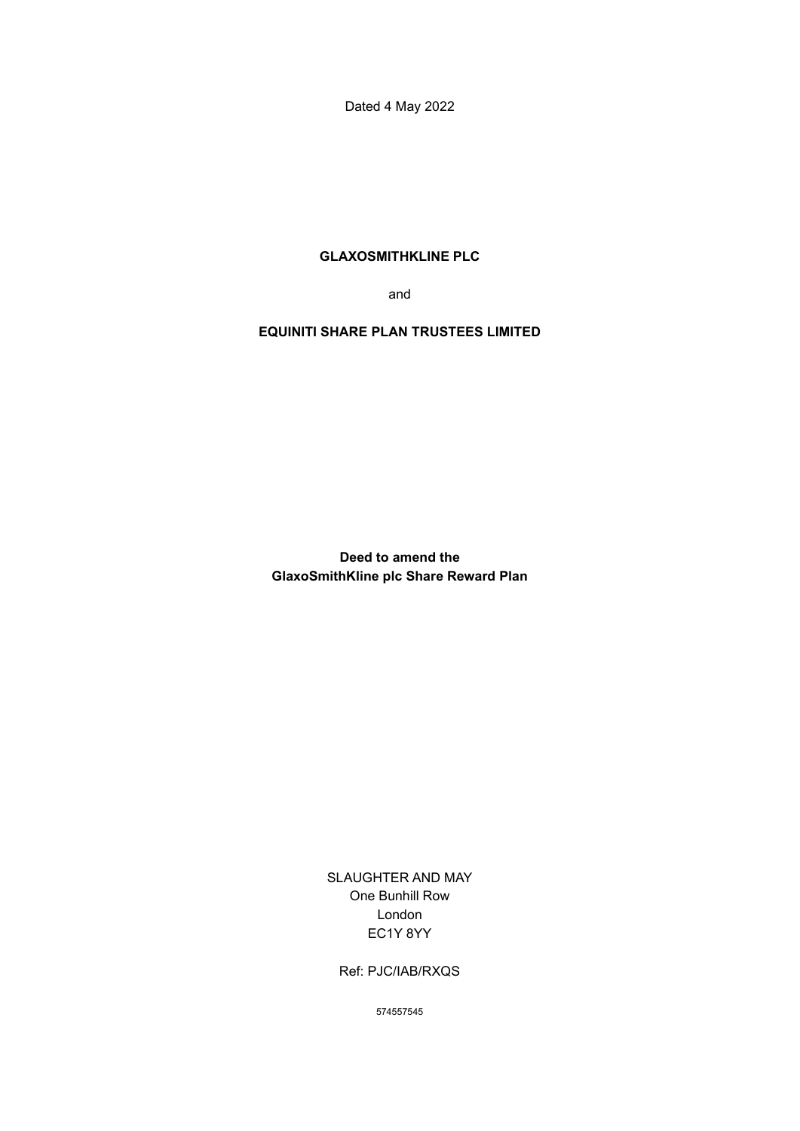Dated 4 May 2022

# **GLAXOSMITHKLINE PLC**

and

## **EQUINITI SHARE PLAN TRUSTEES LIMITED**

**Deed to amend the GlaxoSmithKline plc Share Reward Plan**

> SLAUGHTER AND MAY One Bunhill Row London EC1Y 8YY

Ref: PJC/IAB/RXQS

574557545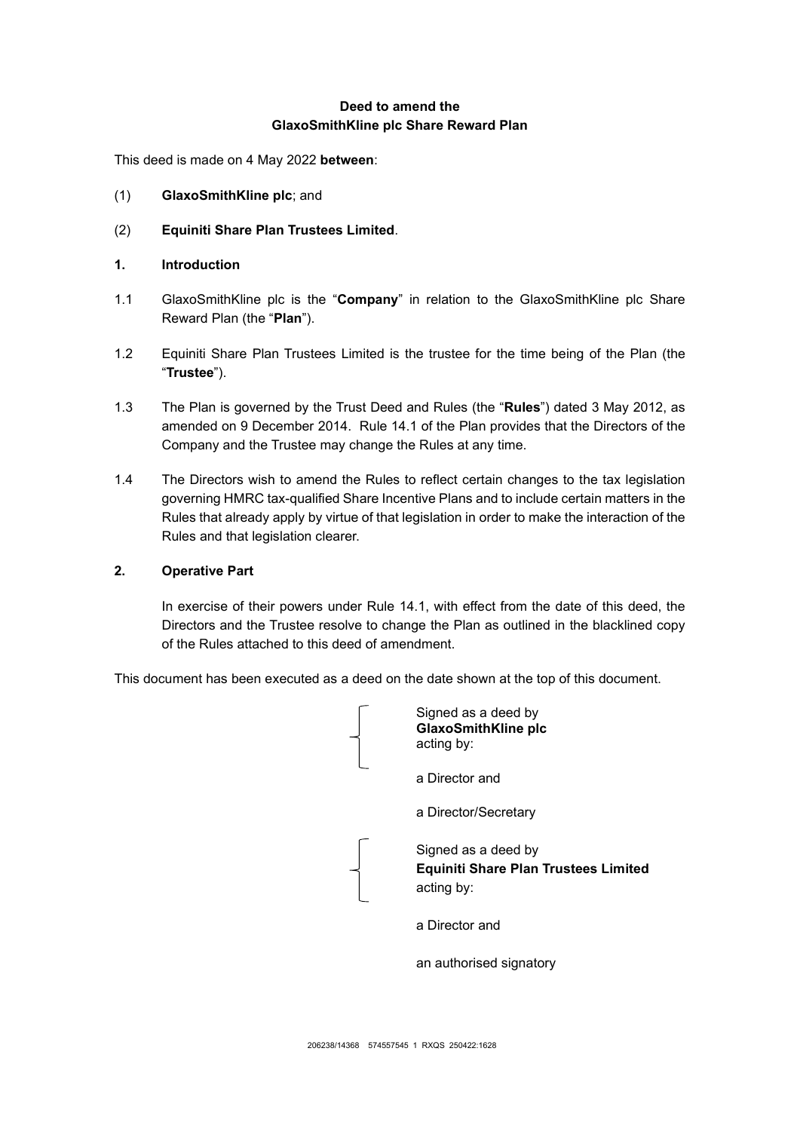# **Deed to amend the GlaxoSmithKline plc Share Reward Plan**

This deed is made on 4 May 2022 **between**:

- (1) **GlaxoSmithKline plc**; and
- (2) **Equiniti Share Plan Trustees Limited**.
- **1. Introduction**
- 1.1 GlaxoSmithKline plc is the "**Company**" in relation to the GlaxoSmithKline plc Share Reward Plan (the "**Plan**").
- 1.2 Equiniti Share Plan Trustees Limited is the trustee for the time being of the Plan (the "**Trustee**").
- 1.3 The Plan is governed by the Trust Deed and Rules (the "**Rules**") dated 3 May 2012, as amended on 9 December 2014. Rule [14.1](#page-29-0) of the Plan provides that the Directors of the Company and the Trustee may change the Rules at any time.
- 1.4 The Directors wish to amend the Rules to reflect certain changes to the tax legislation governing HMRC tax-qualified Share Incentive Plans and to include certain matters in the Rules that already apply by virtue of that legislation in order to make the interaction of the Rules and that legislation clearer.

## **2. Operative Part**

In exercise of their powers under Rule 14.1, with effect from the date of this deed, the Directors and the Trustee resolve to change the Plan as outlined in the blacklined copy of the Rules attached to this deed of amendment.

This document has been executed as a deed on the date shown at the top of this document.

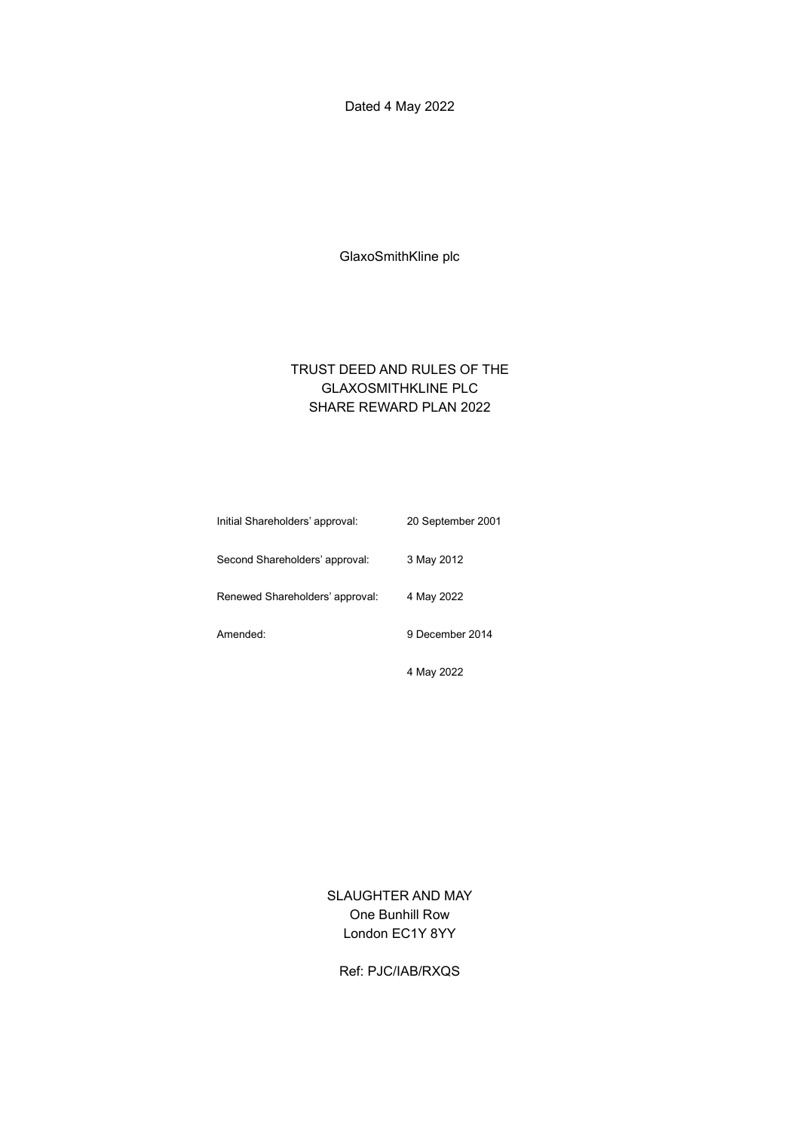Dated 4 May 2022

GlaxoSmithKline plc

# TRUST DEED AND RULES OF THE GLAXOSMITHKLINE PLC SHARE REWARD PLAN 2022

| Initial Shareholders' approval: | 20 September 2001 |
|---------------------------------|-------------------|
| Second Shareholders' approval:  | 3 May 2012        |
| Renewed Shareholders' approval: | 4 May 2022        |
| Amended:                        | 9 December 2014   |
|                                 | 4 May 2022        |

SLAUGHTER AND MAY One Bunhill Row London EC1Y 8YY

Ref: PJC/IAB/RXQS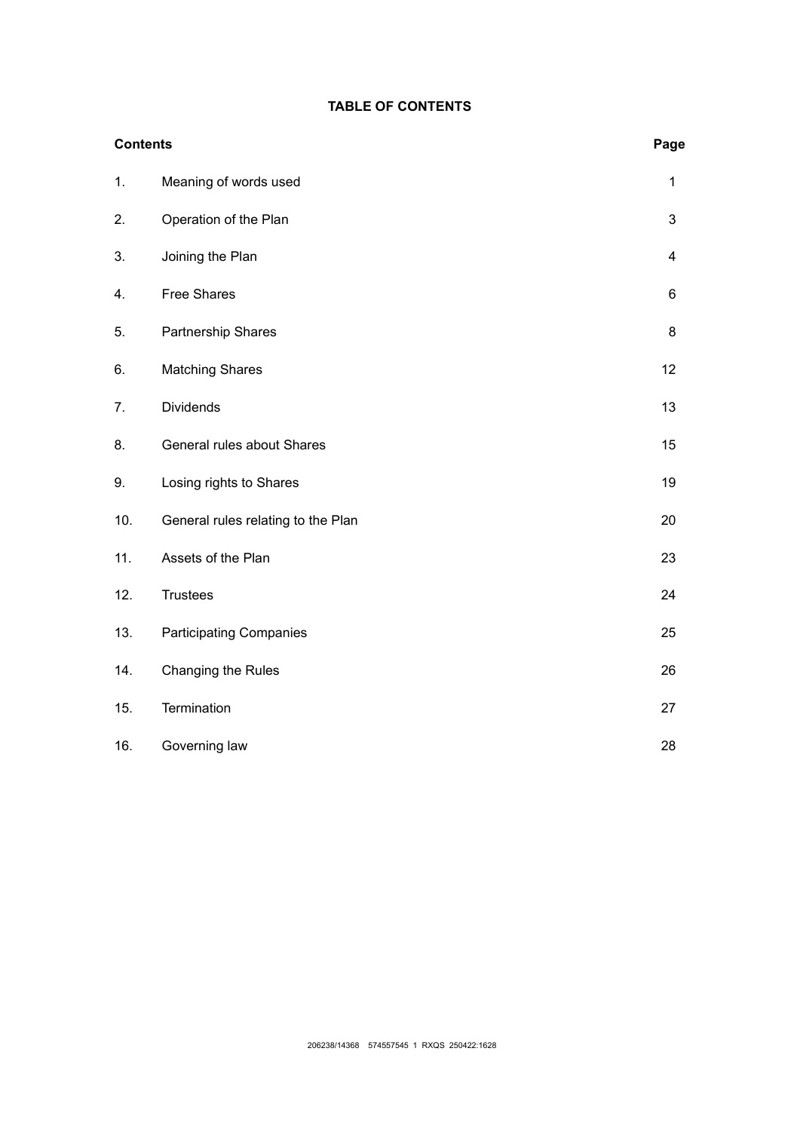## **TABLE OF CONTENTS**

| <b>Contents</b> |                                    | Page           |
|-----------------|------------------------------------|----------------|
| 1.              | Meaning of words used              | $\mathbf{1}$   |
| 2.              | Operation of the Plan              | 3              |
| 3.              | Joining the Plan                   | $\overline{4}$ |
| 4.              | <b>Free Shares</b>                 | 6              |
| 5.              | Partnership Shares                 | $\bf 8$        |
| 6.              | <b>Matching Shares</b>             | 12             |
| 7.              | <b>Dividends</b>                   | 13             |
| 8.              | General rules about Shares         | 15             |
| 9.              | Losing rights to Shares            | 19             |
| 10.             | General rules relating to the Plan | 20             |
| 11.             | Assets of the Plan                 | 23             |
| 12.             | <b>Trustees</b>                    | 24             |
| 13.             | <b>Participating Companies</b>     | 25             |
| 14.             | Changing the Rules                 | 26             |
| 15.             | Termination                        | 27             |
| 16.             | Governing law                      | 28             |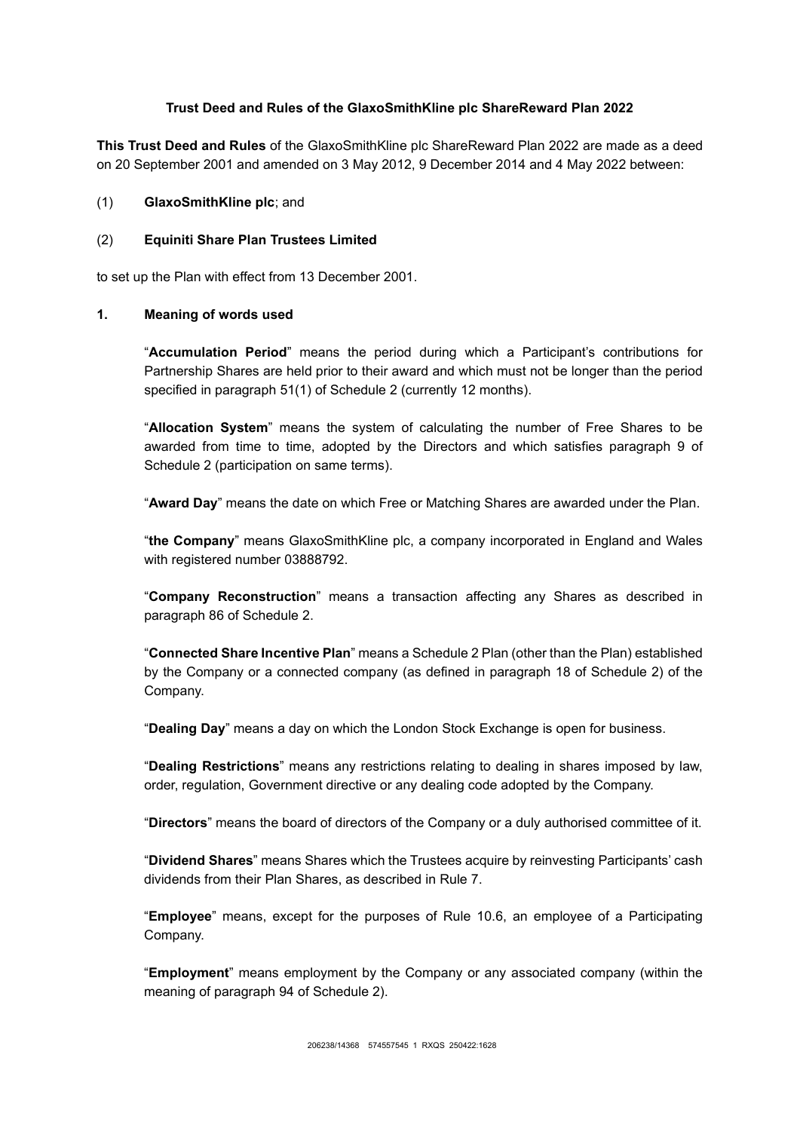## **Trust Deed and Rules of the GlaxoSmithKline plc ShareReward Plan 2022**

**This Trust Deed and Rules** of the GlaxoSmithKline plc ShareReward Plan 2022 are made as a deed on 20 September 2001 and amended on 3 May 2012, 9 December 2014 and 4 May 2022 between:

#### (1) **GlaxoSmithKline plc**; and

#### (2) **Equiniti Share Plan Trustees Limited**

to set up the Plan with effect from 13 December 2001.

#### <span id="page-4-0"></span>**1. Meaning of words used**

"**Accumulation Period**" means the period during which a Participant's contributions for Partnership Shares are held prior to their award and which must not be longer than the period specified in paragraph 51(1) of Schedule 2 (currently 12 months).

"**Allocation System**" means the system of calculating the number of Free Shares to be awarded from time to time, adopted by the Directors and which satisfies paragraph 9 of Schedule 2 (participation on same terms).

"**Award Day**" means the date on which Free or Matching Shares are awarded under the Plan.

"**the Company**" means GlaxoSmithKline plc, a company incorporated in England and Wales with registered number 03888792.

"**Company Reconstruction**" means a transaction affecting any Shares as described in paragraph 86 of Schedule 2.

"**Connected Share Incentive Plan**" means a Schedule 2 Plan (other than the Plan) established by the Company or a connected company (as defined in paragraph 18 of Schedule 2) of the Company.

"**Dealing Day**" means a day on which the London Stock Exchange is open for business.

"**Dealing Restrictions**" means any restrictions relating to dealing in shares imposed by law, order, regulation, Government directive or any dealing code adopted by the Company.

"**Directors**" means the board of directors of the Company or a duly authorised committee of it.

"**Dividend Shares**" means Shares which the Trustees acquire by reinvesting Participants' cash dividends from their Plan Shares, as described in Rule [7.](#page-16-0)

"**Employee**" means, except for the purposes of Rule [10.6,](#page-24-0) an employee of a Participating Company.

"**Employment**" means employment by the Company or any associated company (within the meaning of paragraph 94 of Schedule 2).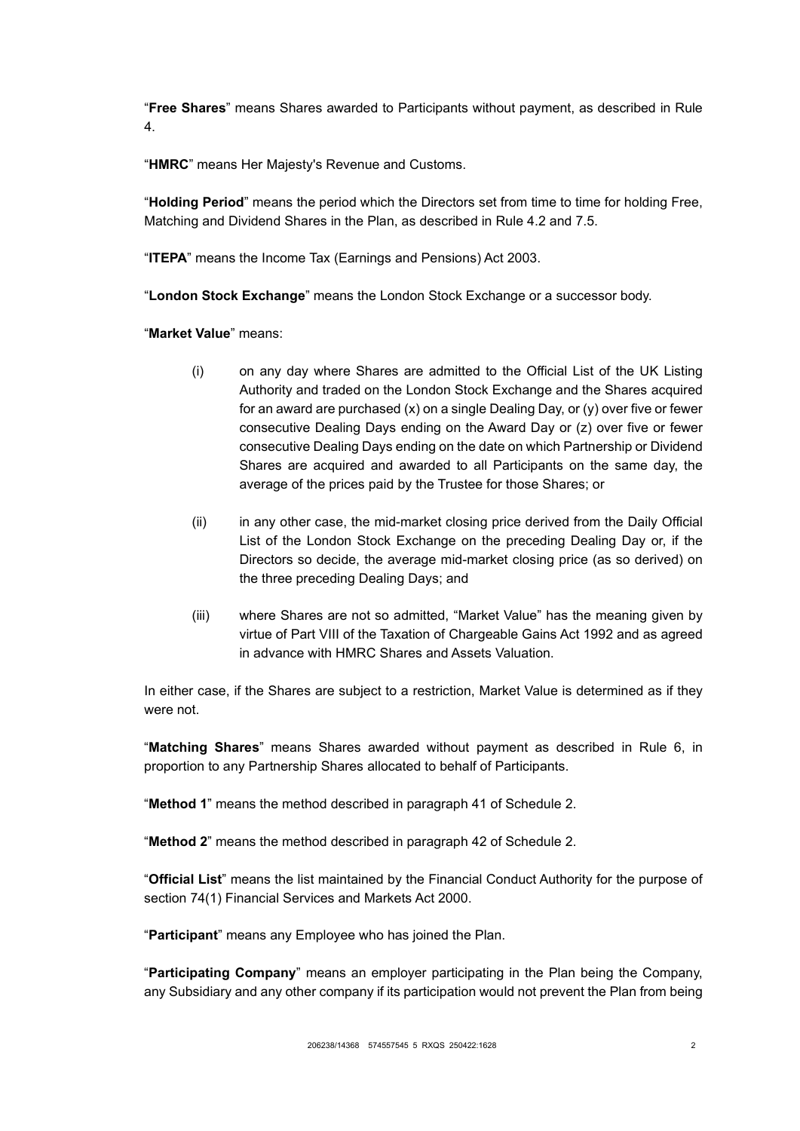"**Free Shares**" means Shares awarded to Participants without payment, as described in Rule [4.](#page-9-0)

"**HMRC**" means Her Majesty's Revenue and Customs.

"**Holding Period**" means the period which the Directors set from time to time for holding Free, Matching and Dividend Shares in the Plan, as described in Rule [4.2](#page-9-1) and [7.5.](#page-17-0)

"**ITEPA**" means the Income Tax (Earnings and Pensions) Act 2003.

"**London Stock Exchange**" means the London Stock Exchange or a successor body.

"**Market Value**" means:

- (i) on any day where Shares are admitted to the Official List of the UK Listing Authority and traded on the London Stock Exchange and the Shares acquired for an award are purchased (x) on a single Dealing Day, or (y) over five or fewer consecutive Dealing Days ending on the Award Day or (z) over five or fewer consecutive Dealing Days ending on the date on which Partnership or Dividend Shares are acquired and awarded to all Participants on the same day, the average of the prices paid by the Trustee for those Shares; or
- (ii) in any other case, the mid-market closing price derived from the Daily Official List of the London Stock Exchange on the preceding Dealing Day or, if the Directors so decide, the average mid-market closing price (as so derived) on the three preceding Dealing Days; and
- (iii) where Shares are not so admitted, "Market Value" has the meaning given by virtue of Part VIII of the Taxation of Chargeable Gains Act 1992 and as agreed in advance with HMRC Shares and Assets Valuation.

In either case, if the Shares are subject to a restriction, Market Value is determined as if they were not.

"**Matching Shares**" means Shares awarded without payment as described in Rule [6,](#page-15-0) in proportion to any Partnership Shares allocated to behalf of Participants.

"**Method 1**" means the method described in paragraph 41 of Schedule 2.

"**Method 2**" means the method described in paragraph 42 of Schedule 2.

"**Official List**" means the list maintained by the Financial Conduct Authority for the purpose of section 74(1) Financial Services and Markets Act 2000.

"**Participant**" means any Employee who has joined the Plan.

"**Participating Company**" means an employer participating in the Plan being the Company, any Subsidiary and any other company if its participation would not prevent the Plan from being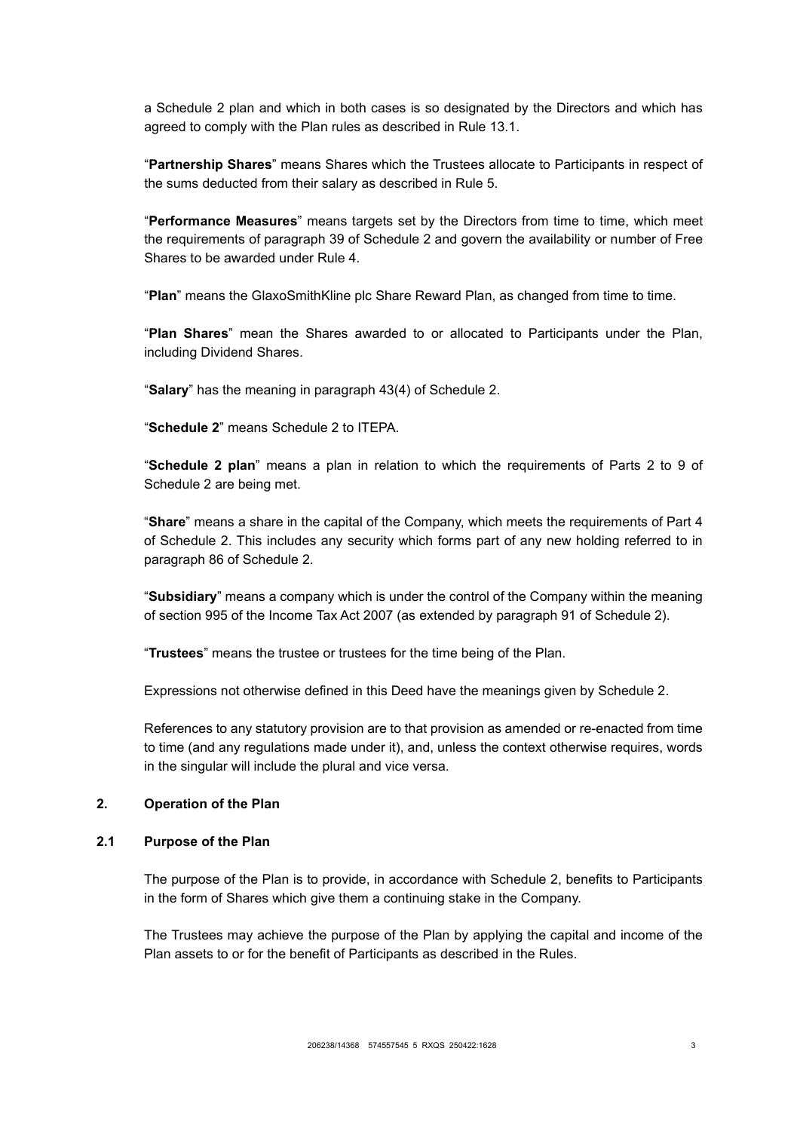a Schedule 2 plan and which in both cases is so designated by the Directors and which has agreed to comply with the Plan rules as described in Rule [13.1.](#page-28-1)

"**Partnership Shares**" means Shares which the Trustees allocate to Participants in respect of the sums deducted from their salary as described in Rule [5.](#page-11-0)

"**Performance Measures**" means targets set by the Directors from time to time, which meet the requirements of paragraph 39 of Schedule 2 and govern the availability or number of Free Shares to be awarded under Rule [4.](#page-9-0)

"**Plan**" means the GlaxoSmithKline plc Share Reward Plan, as changed from time to time.

"**Plan Shares**" mean the Shares awarded to or allocated to Participants under the Plan, including Dividend Shares.

"**Salary**" has the meaning in paragraph 43(4) of Schedule 2.

"**Schedule 2**" means Schedule 2 to ITEPA.

"**Schedule 2 plan**" means a plan in relation to which the requirements of Parts 2 to 9 of Schedule 2 are being met.

"**Share**" means a share in the capital of the Company, which meets the requirements of Part 4 of Schedule 2. This includes any security which forms part of any new holding referred to in paragraph 86 of Schedule 2.

"**Subsidiary**" means a company which is under the control of the Company within the meaning of section 995 of the Income Tax Act 2007 (as extended by paragraph 91 of Schedule 2).

"**Trustees**" means the trustee or trustees for the time being of the Plan.

Expressions not otherwise defined in this Deed have the meanings given by Schedule 2.

References to any statutory provision are to that provision as amended or re-enacted from time to time (and any regulations made under it), and, unless the context otherwise requires, words in the singular will include the plural and vice versa.

### <span id="page-6-0"></span>**2. Operation of the Plan**

#### **2.1 Purpose of the Plan**

The purpose of the Plan is to provide, in accordance with Schedule 2, benefits to Participants in the form of Shares which give them a continuing stake in the Company.

The Trustees may achieve the purpose of the Plan by applying the capital and income of the Plan assets to or for the benefit of Participants as described in the Rules.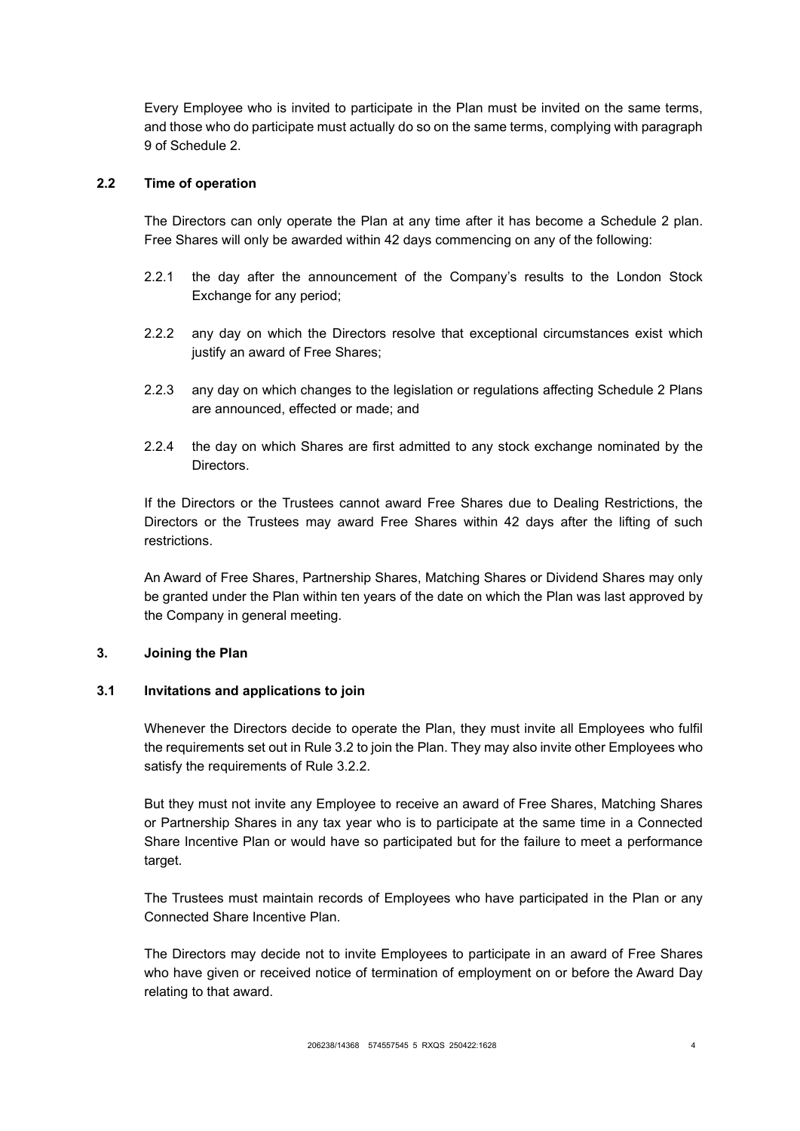Every Employee who is invited to participate in the Plan must be invited on the same terms, and those who do participate must actually do so on the same terms, complying with paragraph 9 of Schedule 2.

## **2.2 Time of operation**

The Directors can only operate the Plan at any time after it has become a Schedule 2 plan. Free Shares will only be awarded within 42 days commencing on any of the following:

- 2.2.1 the day after the announcement of the Company's results to the London Stock Exchange for any period;
- 2.2.2 any day on which the Directors resolve that exceptional circumstances exist which justify an award of Free Shares;
- 2.2.3 any day on which changes to the legislation or regulations affecting Schedule 2 Plans are announced, effected or made; and
- 2.2.4 the day on which Shares are first admitted to any stock exchange nominated by the Directors.

If the Directors or the Trustees cannot award Free Shares due to Dealing Restrictions, the Directors or the Trustees may award Free Shares within 42 days after the lifting of such restrictions.

An Award of Free Shares, Partnership Shares, Matching Shares or Dividend Shares may only be granted under the Plan within ten years of the date on which the Plan was last approved by the Company in general meeting.

## <span id="page-7-0"></span>**3. Joining the Plan**

#### **3.1 Invitations and applications to join**

Whenever the Directors decide to operate the Plan, they must invite all Employees who fulfil the requirements set out in Rule [3.2](#page-8-0) to join the Plan. They may also invite other Employees who satisfy the requirements of Rule [3.2.2.](#page-8-1)

But they must not invite any Employee to receive an award of Free Shares, Matching Shares or Partnership Shares in any tax year who is to participate at the same time in a Connected Share Incentive Plan or would have so participated but for the failure to meet a performance target.

The Trustees must maintain records of Employees who have participated in the Plan or any Connected Share Incentive Plan.

The Directors may decide not to invite Employees to participate in an award of Free Shares who have given or received notice of termination of employment on or before the Award Day relating to that award.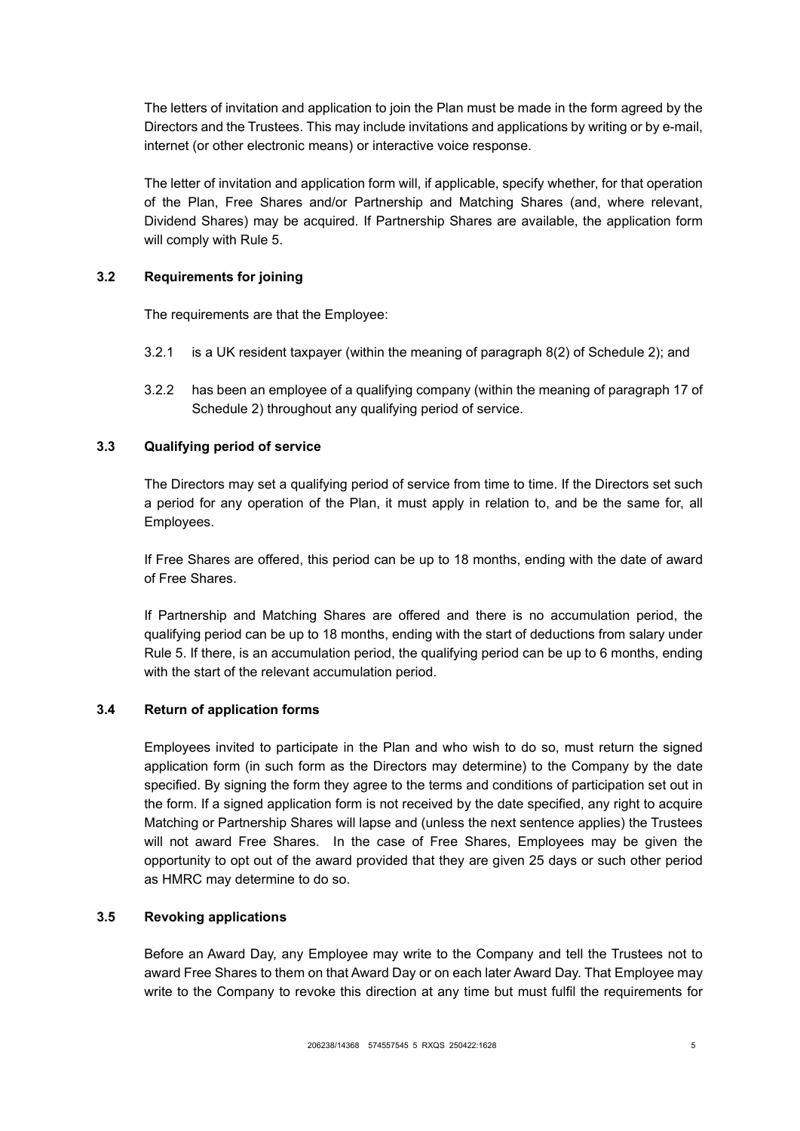The letters of invitation and application to join the Plan must be made in the form agreed by the Directors and the Trustees. This may include invitations and applications by writing or by e-mail, internet (or other electronic means) or interactive voice response.

The letter of invitation and application form will, if applicable, specify whether, for that operation of the Plan, Free Shares and/or Partnership and Matching Shares (and, where relevant, Dividend Shares) may be acquired. If Partnership Shares are available, the application form will comply with Rule [5.](#page-11-0)

## <span id="page-8-0"></span>**3.2 Requirements for joining**

The requirements are that the Employee:

- 3.2.1 is a UK resident taxpayer (within the meaning of paragraph 8(2) of Schedule 2); and
- <span id="page-8-1"></span>3.2.2 has been an employee of a qualifying company (within the meaning of paragraph 17 of Schedule 2) throughout any qualifying period of service.

# **3.3 Qualifying period of service**

The Directors may set a qualifying period of service from time to time. If the Directors set such a period for any operation of the Plan, it must apply in relation to, and be the same for, all Employees.

If Free Shares are offered, this period can be up to 18 months, ending with the date of award of Free Shares.

If Partnership and Matching Shares are offered and there is no accumulation period, the qualifying period can be up to 18 months, ending with the start of deductions from salary under Rule [5.](#page-11-0) If there, is an accumulation period, the qualifying period can be up to 6 months, ending with the start of the relevant accumulation period.

## **3.4 Return of application forms**

Employees invited to participate in the Plan and who wish to do so, must return the signed application form (in such form as the Directors may determine) to the Company by the date specified. By signing the form they agree to the terms and conditions of participation set out in the form. If a signed application form is not received by the date specified, any right to acquire Matching or Partnership Shares will lapse and (unless the next sentence applies) the Trustees will not award Free Shares. In the case of Free Shares, Employees may be given the opportunity to opt out of the award provided that they are given 25 days or such other period as HMRC may determine to do so.

## **3.5 Revoking applications**

Before an Award Day, any Employee may write to the Company and tell the Trustees not to award Free Shares to them on that Award Day or on each later Award Day. That Employee may write to the Company to revoke this direction at any time but must fulfil the requirements for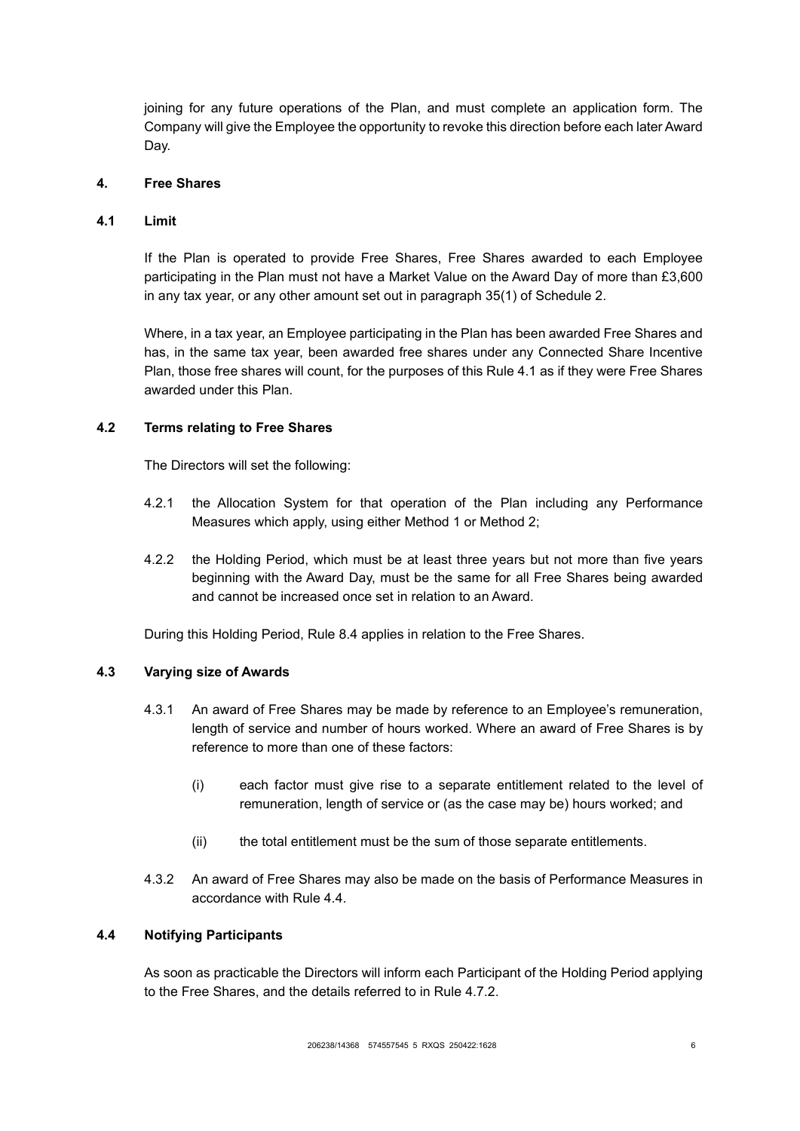joining for any future operations of the Plan, and must complete an application form. The Company will give the Employee the opportunity to revoke this direction before each later Award Day.

### <span id="page-9-0"></span>**4. Free Shares**

### <span id="page-9-2"></span>**4.1 Limit**

If the Plan is operated to provide Free Shares, Free Shares awarded to each Employee participating in the Plan must not have a Market Value on the Award Day of more than £3,600 in any tax year, or any other amount set out in paragraph 35(1) of Schedule 2.

Where, in a tax year, an Employee participating in the Plan has been awarded Free Shares and has, in the same tax year, been awarded free shares under any Connected Share Incentive Plan, those free shares will count, for the purposes of this Rule [4.1](#page-9-2) as if they were Free Shares awarded under this Plan.

### <span id="page-9-1"></span>**4.2 Terms relating to Free Shares**

The Directors will set the following:

- 4.2.1 the Allocation System for that operation of the Plan including any Performance Measures which apply, using either Method 1 or Method 2;
- <span id="page-9-4"></span>4.2.2 the Holding Period, which must be at least three years but not more than five years beginning with the Award Day, must be the same for all Free Shares being awarded and cannot be increased once set in relation to an Award.

During this Holding Period, Rule [8.4](#page-19-0) applies in relation to the Free Shares.

## **4.3 Varying size of Awards**

- 4.3.1 An award of Free Shares may be made by reference to an Employee's remuneration, length of service and number of hours worked. Where an award of Free Shares is by reference to more than one of these factors:
	- (i) each factor must give rise to a separate entitlement related to the level of remuneration, length of service or (as the case may be) hours worked; and
	- (ii) the total entitlement must be the sum of those separate entitlements.
- 4.3.2 An award of Free Shares may also be made on the basis of Performance Measures in accordance with Rule [4.4.](#page-9-3)

## <span id="page-9-3"></span>**4.4 Notifying Participants**

As soon as practicable the Directors will inform each Participant of the Holding Period applying to the Free Shares, and the details referred to in Rule [4.7.2.](#page-10-0)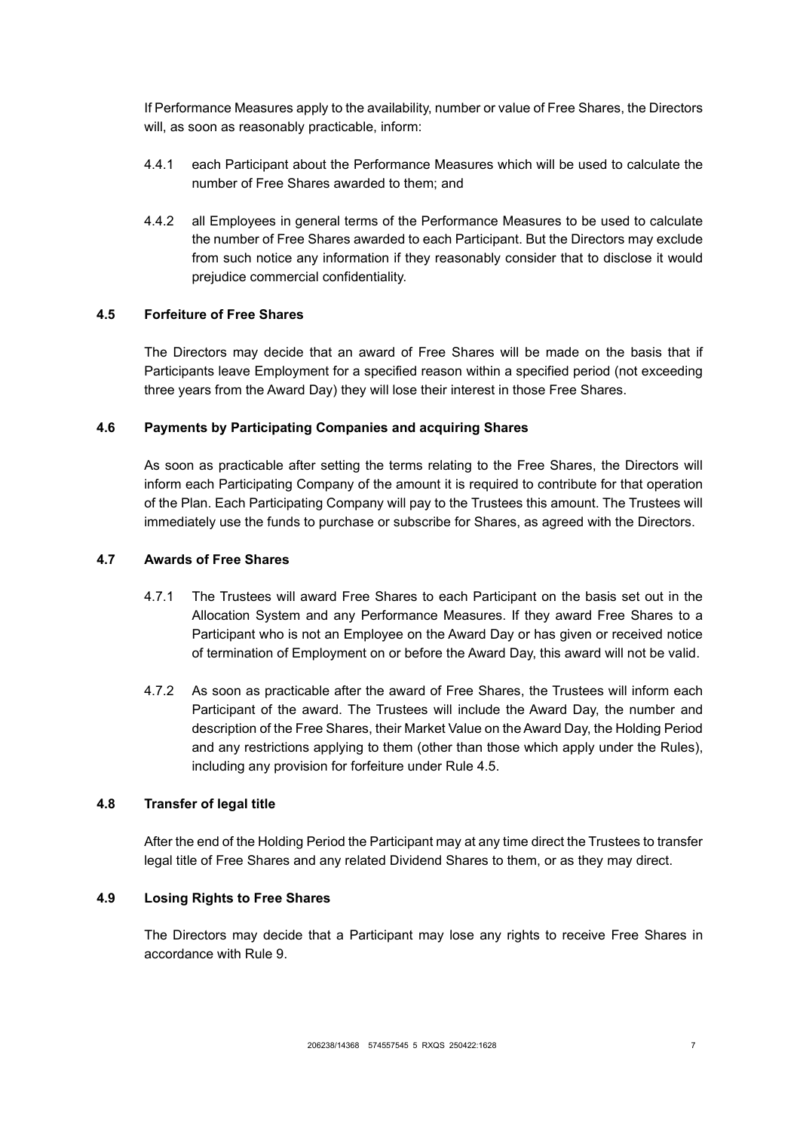If Performance Measures apply to the availability, number or value of Free Shares, the Directors will, as soon as reasonably practicable, inform:

- 4.4.1 each Participant about the Performance Measures which will be used to calculate the number of Free Shares awarded to them; and
- 4.4.2 all Employees in general terms of the Performance Measures to be used to calculate the number of Free Shares awarded to each Participant. But the Directors may exclude from such notice any information if they reasonably consider that to disclose it would prejudice commercial confidentiality.

### <span id="page-10-1"></span>**4.5 Forfeiture of Free Shares**

The Directors may decide that an award of Free Shares will be made on the basis that if Participants leave Employment for a specified reason within a specified period (not exceeding three years from the Award Day) they will lose their interest in those Free Shares.

#### **4.6 Payments by Participating Companies and acquiring Shares**

As soon as practicable after setting the terms relating to the Free Shares, the Directors will inform each Participating Company of the amount it is required to contribute for that operation of the Plan. Each Participating Company will pay to the Trustees this amount. The Trustees will immediately use the funds to purchase or subscribe for Shares, as agreed with the Directors.

#### **4.7 Awards of Free Shares**

- 4.7.1 The Trustees will award Free Shares to each Participant on the basis set out in the Allocation System and any Performance Measures. If they award Free Shares to a Participant who is not an Employee on the Award Day or has given or received notice of termination of Employment on or before the Award Day, this award will not be valid.
- <span id="page-10-0"></span>4.7.2 As soon as practicable after the award of Free Shares, the Trustees will inform each Participant of the award. The Trustees will include the Award Day, the number and description of the Free Shares, their Market Value on the Award Day, the Holding Period and any restrictions applying to them (other than those which apply under the Rules), including any provision for forfeiture under Rule [4.5.](#page-10-1)

### **4.8 Transfer of legal title**

After the end of the Holding Period the Participant may at any time direct the Trustees to transfer legal title of Free Shares and any related Dividend Shares to them, or as they may direct.

#### **4.9 Losing Rights to Free Shares**

The Directors may decide that a Participant may lose any rights to receive Free Shares in accordance with Rule [9.](#page-22-0)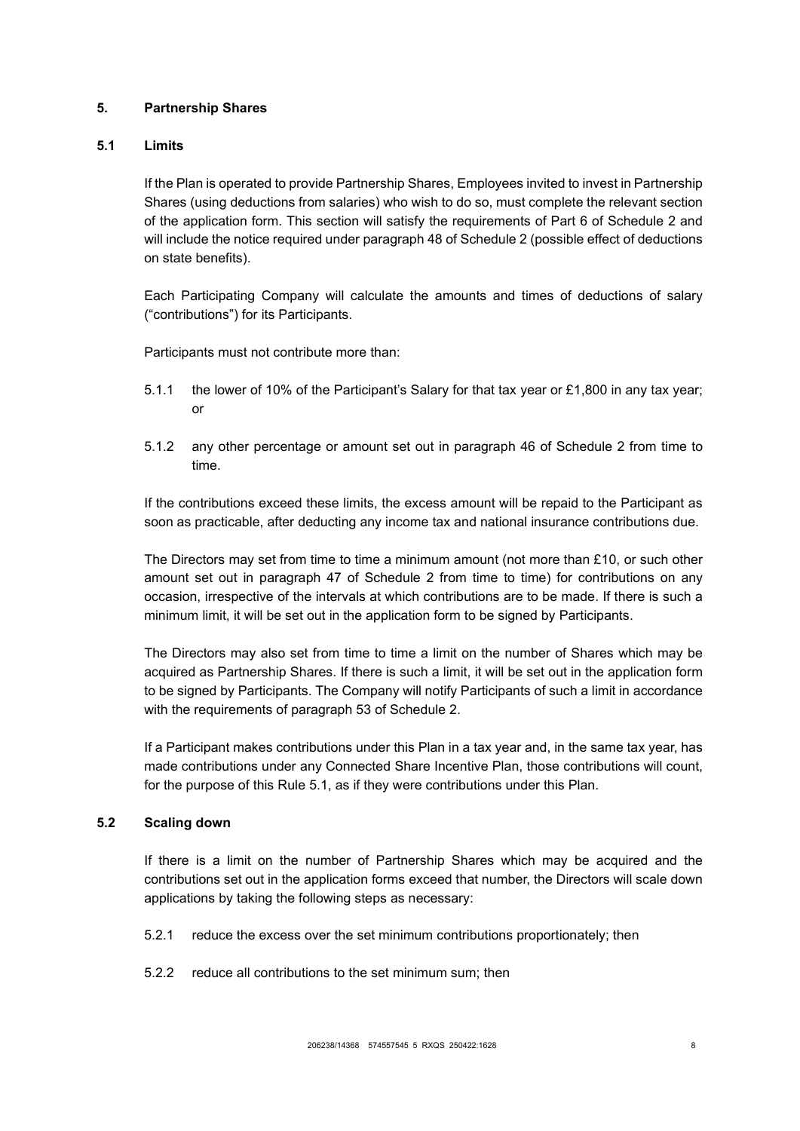## <span id="page-11-0"></span>**5. Partnership Shares**

## <span id="page-11-1"></span>**5.1 Limits**

If the Plan is operated to provide Partnership Shares, Employees invited to invest in Partnership Shares (using deductions from salaries) who wish to do so, must complete the relevant section of the application form. This section will satisfy the requirements of Part 6 of Schedule 2 and will include the notice required under paragraph 48 of Schedule 2 (possible effect of deductions on state benefits).

Each Participating Company will calculate the amounts and times of deductions of salary ("contributions") for its Participants.

Participants must not contribute more than:

- 5.1.1 the lower of 10% of the Participant's Salary for that tax year or £1,800 in any tax year; or
- 5.1.2 any other percentage or amount set out in paragraph 46 of Schedule 2 from time to time.

If the contributions exceed these limits, the excess amount will be repaid to the Participant as soon as practicable, after deducting any income tax and national insurance contributions due.

The Directors may set from time to time a minimum amount (not more than £10, or such other amount set out in paragraph 47 of Schedule 2 from time to time) for contributions on any occasion, irrespective of the intervals at which contributions are to be made. If there is such a minimum limit, it will be set out in the application form to be signed by Participants.

The Directors may also set from time to time a limit on the number of Shares which may be acquired as Partnership Shares. If there is such a limit, it will be set out in the application form to be signed by Participants. The Company will notify Participants of such a limit in accordance with the requirements of paragraph 53 of Schedule 2.

If a Participant makes contributions under this Plan in a tax year and, in the same tax year, has made contributions under any Connected Share Incentive Plan, those contributions will count, for the purpose of this Rule [5.1,](#page-11-1) as if they were contributions under this Plan.

## **5.2 Scaling down**

If there is a limit on the number of Partnership Shares which may be acquired and the contributions set out in the application forms exceed that number, the Directors will scale down applications by taking the following steps as necessary:

- 5.2.1 reduce the excess over the set minimum contributions proportionately; then
- 5.2.2 reduce all contributions to the set minimum sum; then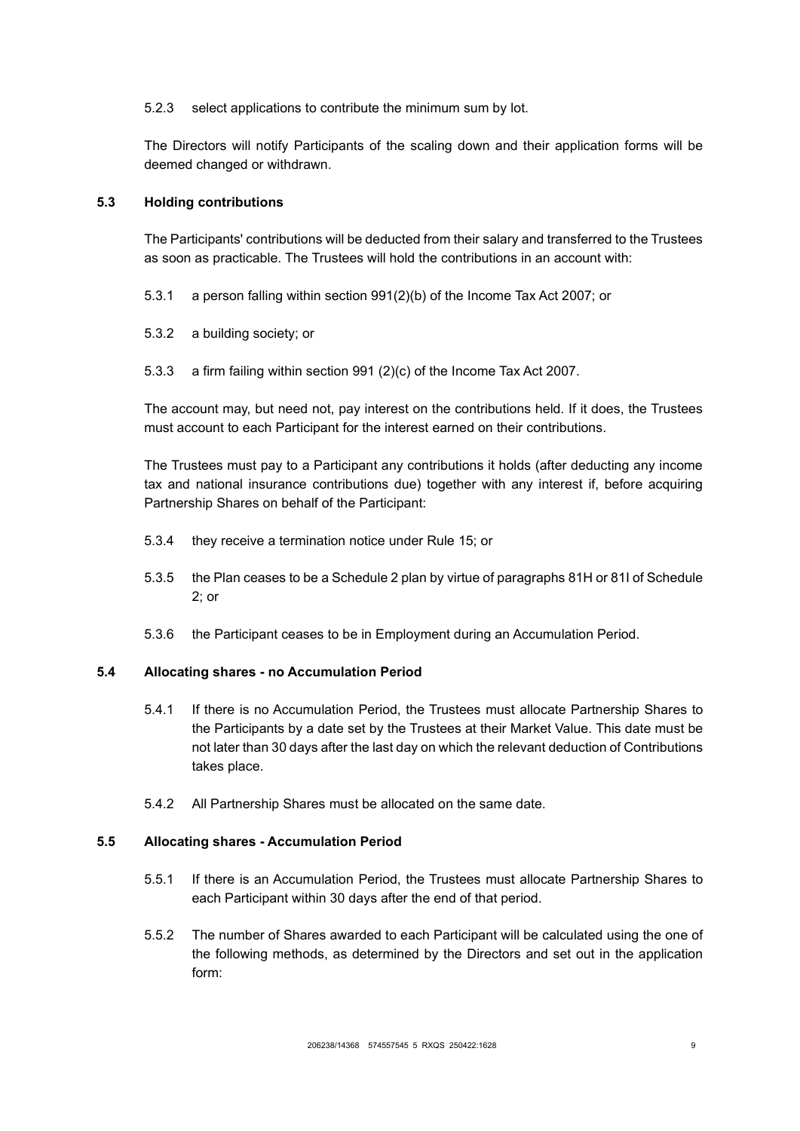5.2.3 select applications to contribute the minimum sum by lot.

The Directors will notify Participants of the scaling down and their application forms will be deemed changed or withdrawn.

### <span id="page-12-2"></span>**5.3 Holding contributions**

The Participants' contributions will be deducted from their salary and transferred to the Trustees as soon as practicable. The Trustees will hold the contributions in an account with:

- 5.3.1 a person falling within section 991(2)(b) of the Income Tax Act 2007; or
- 5.3.2 a building society; or
- 5.3.3 a firm failing within section 991 (2)(c) of the Income Tax Act 2007.

The account may, but need not, pay interest on the contributions held. If it does, the Trustees must account to each Participant for the interest earned on their contributions.

The Trustees must pay to a Participant any contributions it holds (after deducting any income tax and national insurance contributions due) together with any interest if, before acquiring Partnership Shares on behalf of the Participant:

- 5.3.4 they receive a termination notice under Rule [15;](#page-30-0) or
- 5.3.5 the Plan ceases to be a Schedule 2 plan by virtue of paragraphs 81H or 81I of Schedule 2; or
- 5.3.6 the Participant ceases to be in Employment during an Accumulation Period.

#### <span id="page-12-0"></span>**5.4 Allocating shares - no Accumulation Period**

- 5.4.1 If there is no Accumulation Period, the Trustees must allocate Partnership Shares to the Participants by a date set by the Trustees at their Market Value. This date must be not later than 30 days after the last day on which the relevant deduction of Contributions takes place.
- 5.4.2 All Partnership Shares must be allocated on the same date.

### <span id="page-12-1"></span>**5.5 Allocating shares - Accumulation Period**

- 5.5.1 If there is an Accumulation Period, the Trustees must allocate Partnership Shares to each Participant within 30 days after the end of that period.
- 5.5.2 The number of Shares awarded to each Participant will be calculated using the one of the following methods, as determined by the Directors and set out in the application form: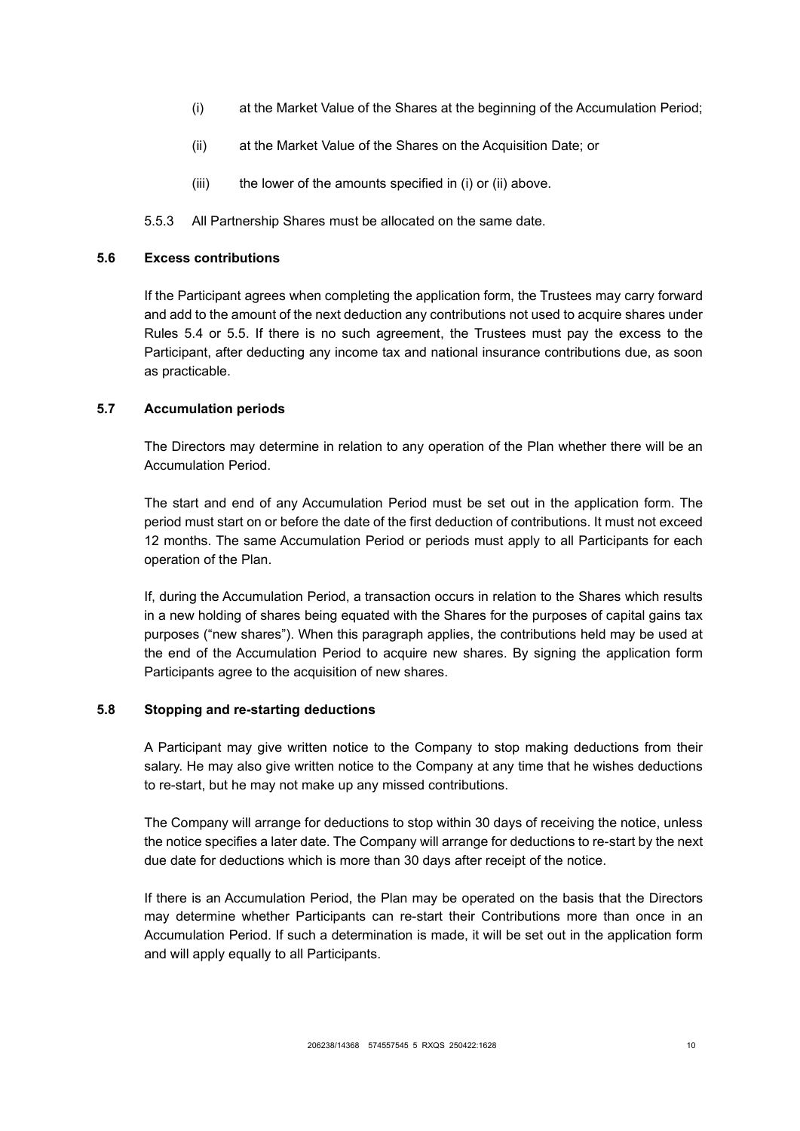- (i) at the Market Value of the Shares at the beginning of the Accumulation Period;
- (ii) at the Market Value of the Shares on the Acquisition Date; or
- (iii) the lower of the amounts specified in (i) or (ii) above.
- 5.5.3 All Partnership Shares must be allocated on the same date.

#### **5.6 Excess contributions**

If the Participant agrees when completing the application form, the Trustees may carry forward and add to the amount of the next deduction any contributions not used to acquire shares under Rules [5.4](#page-12-0) or [5.5.](#page-12-1) If there is no such agreement, the Trustees must pay the excess to the Participant, after deducting any income tax and national insurance contributions due, as soon as practicable.

## <span id="page-13-0"></span>**5.7 Accumulation periods**

The Directors may determine in relation to any operation of the Plan whether there will be an Accumulation Period.

The start and end of any Accumulation Period must be set out in the application form. The period must start on or before the date of the first deduction of contributions. It must not exceed 12 months. The same Accumulation Period or periods must apply to all Participants for each operation of the Plan.

If, during the Accumulation Period, a transaction occurs in relation to the Shares which results in a new holding of shares being equated with the Shares for the purposes of capital gains tax purposes ("new shares"). When this paragraph applies, the contributions held may be used at the end of the Accumulation Period to acquire new shares. By signing the application form Participants agree to the acquisition of new shares.

#### **5.8 Stopping and re-starting deductions**

A Participant may give written notice to the Company to stop making deductions from their salary. He may also give written notice to the Company at any time that he wishes deductions to re-start, but he may not make up any missed contributions.

The Company will arrange for deductions to stop within 30 days of receiving the notice, unless the notice specifies a later date. The Company will arrange for deductions to re-start by the next due date for deductions which is more than 30 days after receipt of the notice.

If there is an Accumulation Period, the Plan may be operated on the basis that the Directors may determine whether Participants can re-start their Contributions more than once in an Accumulation Period. If such a determination is made, it will be set out in the application form and will apply equally to all Participants.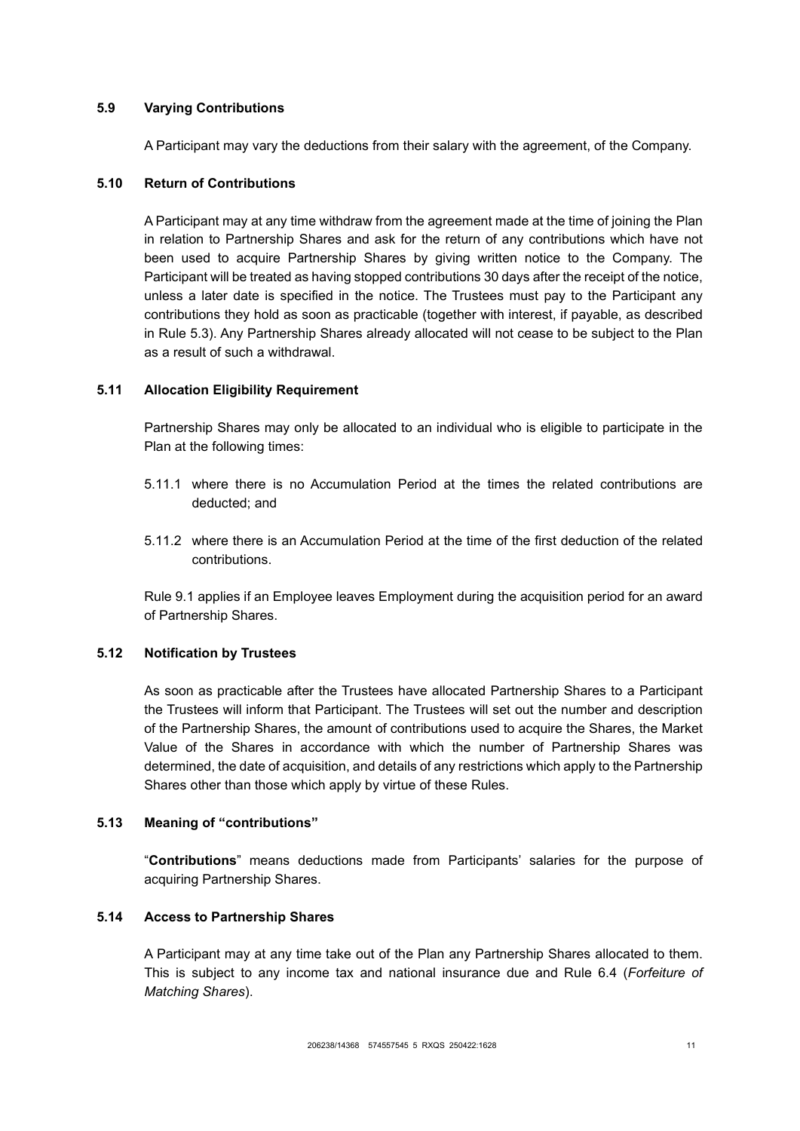## **5.9 Varying Contributions**

A Participant may vary the deductions from their salary with the agreement, of the Company.

### **5.10 Return of Contributions**

A Participant may at any time withdraw from the agreement made at the time of joining the Plan in relation to Partnership Shares and ask for the return of any contributions which have not been used to acquire Partnership Shares by giving written notice to the Company. The Participant will be treated as having stopped contributions 30 days after the receipt of the notice, unless a later date is specified in the notice. The Trustees must pay to the Participant any contributions they hold as soon as practicable (together with interest, if payable, as described in Rule [5.3\)](#page-12-2). Any Partnership Shares already allocated will not cease to be subject to the Plan as a result of such a withdrawal.

## **5.11 Allocation Eligibility Requirement**

Partnership Shares may only be allocated to an individual who is eligible to participate in the Plan at the following times:

- 5.11.1 where there is no Accumulation Period at the times the related contributions are deducted; and
- 5.11.2 where there is an Accumulation Period at the time of the first deduction of the related contributions.

Rule [9.1](#page-22-1) applies if an Employee leaves Employment during the acquisition period for an award of Partnership Shares.

# **5.12 Notification by Trustees**

As soon as practicable after the Trustees have allocated Partnership Shares to a Participant the Trustees will inform that Participant. The Trustees will set out the number and description of the Partnership Shares, the amount of contributions used to acquire the Shares, the Market Value of the Shares in accordance with which the number of Partnership Shares was determined, the date of acquisition, and details of any restrictions which apply to the Partnership Shares other than those which apply by virtue of these Rules.

#### **5.13 Meaning of "contributions"**

"**Contributions**" means deductions made from Participants' salaries for the purpose of acquiring Partnership Shares.

#### **5.14 Access to Partnership Shares**

A Participant may at any time take out of the Plan any Partnership Shares allocated to them. This is subject to any income tax and national insurance due and Rule [6.4](#page-15-1) (*[Forfeiture of](#page-15-1)  [Matching Shares](#page-15-1)*).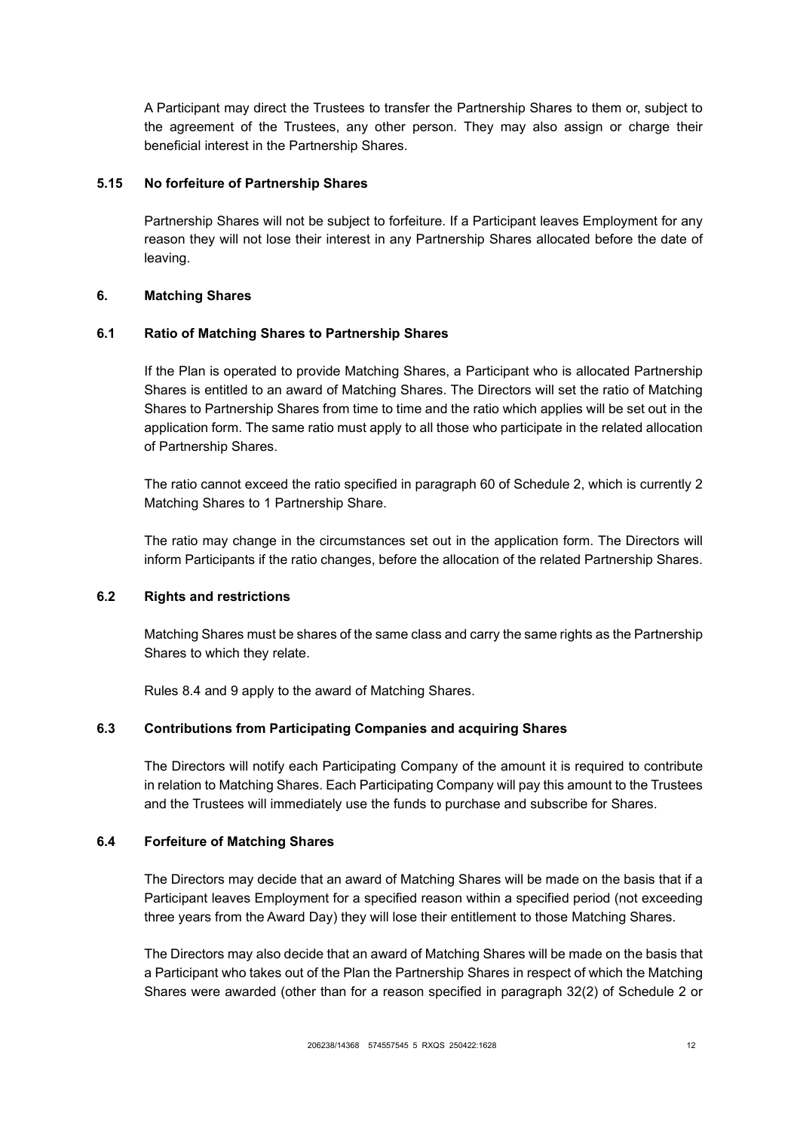A Participant may direct the Trustees to transfer the Partnership Shares to them or, subject to the agreement of the Trustees, any other person. They may also assign or charge their beneficial interest in the Partnership Shares.

### **5.15 No forfeiture of Partnership Shares**

Partnership Shares will not be subject to forfeiture. If a Participant leaves Employment for any reason they will not lose their interest in any Partnership Shares allocated before the date of leaving.

### <span id="page-15-0"></span>**6. Matching Shares**

### **6.1 Ratio of Matching Shares to Partnership Shares**

If the Plan is operated to provide Matching Shares, a Participant who is allocated Partnership Shares is entitled to an award of Matching Shares. The Directors will set the ratio of Matching Shares to Partnership Shares from time to time and the ratio which applies will be set out in the application form. The same ratio must apply to all those who participate in the related allocation of Partnership Shares.

The ratio cannot exceed the ratio specified in paragraph 60 of Schedule 2, which is currently 2 Matching Shares to 1 Partnership Share.

The ratio may change in the circumstances set out in the application form. The Directors will inform Participants if the ratio changes, before the allocation of the related Partnership Shares.

### **6.2 Rights and restrictions**

Matching Shares must be shares of the same class and carry the same rights as the Partnership Shares to which they relate.

Rules [8.4](#page-19-0) and [9](#page-22-0) apply to the award of Matching Shares.

# **6.3 Contributions from Participating Companies and acquiring Shares**

The Directors will notify each Participating Company of the amount it is required to contribute in relation to Matching Shares. Each Participating Company will pay this amount to the Trustees and the Trustees will immediately use the funds to purchase and subscribe for Shares.

#### <span id="page-15-1"></span>**6.4 Forfeiture of Matching Shares**

The Directors may decide that an award of Matching Shares will be made on the basis that if a Participant leaves Employment for a specified reason within a specified period (not exceeding three years from the Award Day) they will lose their entitlement to those Matching Shares.

The Directors may also decide that an award of Matching Shares will be made on the basis that a Participant who takes out of the Plan the Partnership Shares in respect of which the Matching Shares were awarded (other than for a reason specified in paragraph 32(2) of Schedule 2 or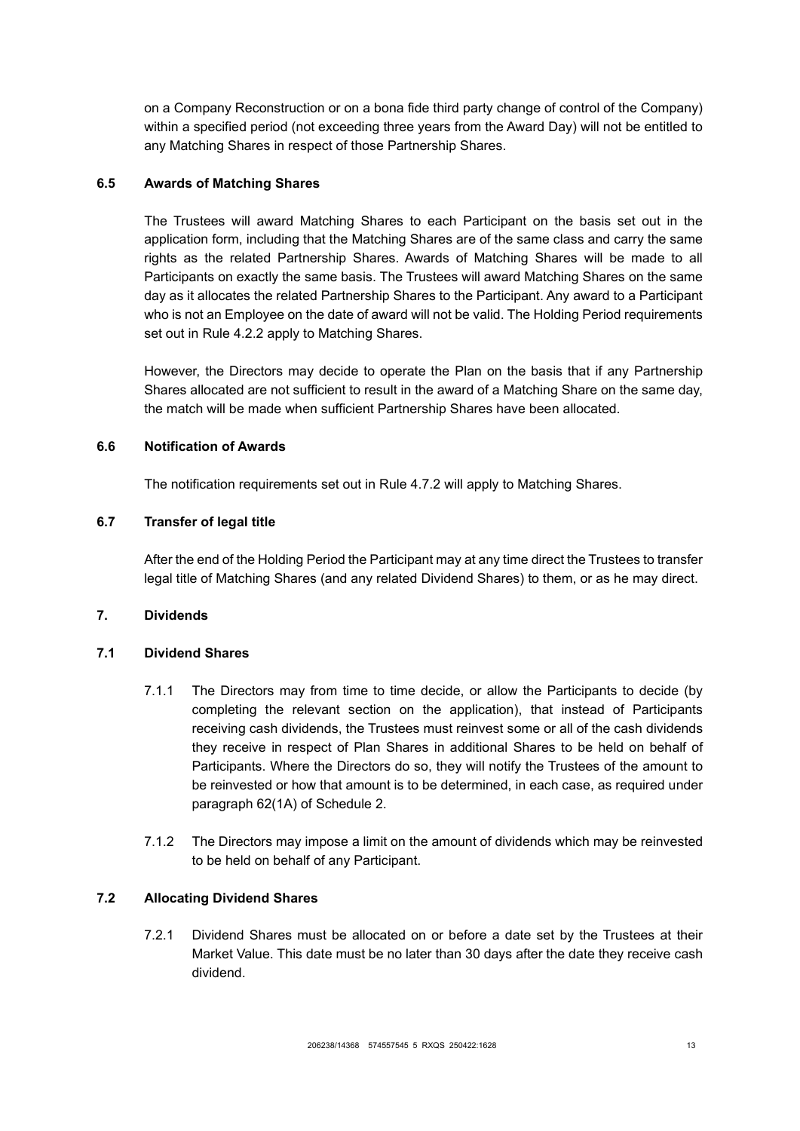on a Company Reconstruction or on a bona fide third party change of control of the Company) within a specified period (not exceeding three years from the Award Day) will not be entitled to any Matching Shares in respect of those Partnership Shares.

## **6.5 Awards of Matching Shares**

The Trustees will award Matching Shares to each Participant on the basis set out in the application form, including that the Matching Shares are of the same class and carry the same rights as the related Partnership Shares. Awards of Matching Shares will be made to all Participants on exactly the same basis. The Trustees will award Matching Shares on the same day as it allocates the related Partnership Shares to the Participant. Any award to a Participant who is not an Employee on the date of award will not be valid. The Holding Period requirements set out in Rule [4.2.2](#page-9-4) apply to Matching Shares.

However, the Directors may decide to operate the Plan on the basis that if any Partnership Shares allocated are not sufficient to result in the award of a Matching Share on the same day, the match will be made when sufficient Partnership Shares have been allocated.

## **6.6 Notification of Awards**

The notification requirements set out in Rule [4.7.2](#page-10-0) will apply to Matching Shares.

# **6.7 Transfer of legal title**

After the end of the Holding Period the Participant may at any time direct the Trustees to transfer legal title of Matching Shares (and any related Dividend Shares) to them, or as he may direct.

## <span id="page-16-0"></span>**7. Dividends**

## <span id="page-16-2"></span>**7.1 Dividend Shares**

- 7.1.1 The Directors may from time to time decide, or allow the Participants to decide (by completing the relevant section on the application), that instead of Participants receiving cash dividends, the Trustees must reinvest some or all of the cash dividends they receive in respect of Plan Shares in additional Shares to be held on behalf of Participants. Where the Directors do so, they will notify the Trustees of the amount to be reinvested or how that amount is to be determined, in each case, as required under paragraph 62(1A) of Schedule 2.
- 7.1.2 The Directors may impose a limit on the amount of dividends which may be reinvested to be held on behalf of any Participant.

# <span id="page-16-1"></span>**7.2 Allocating Dividend Shares**

7.2.1 Dividend Shares must be allocated on or before a date set by the Trustees at their Market Value. This date must be no later than 30 days after the date they receive cash dividend.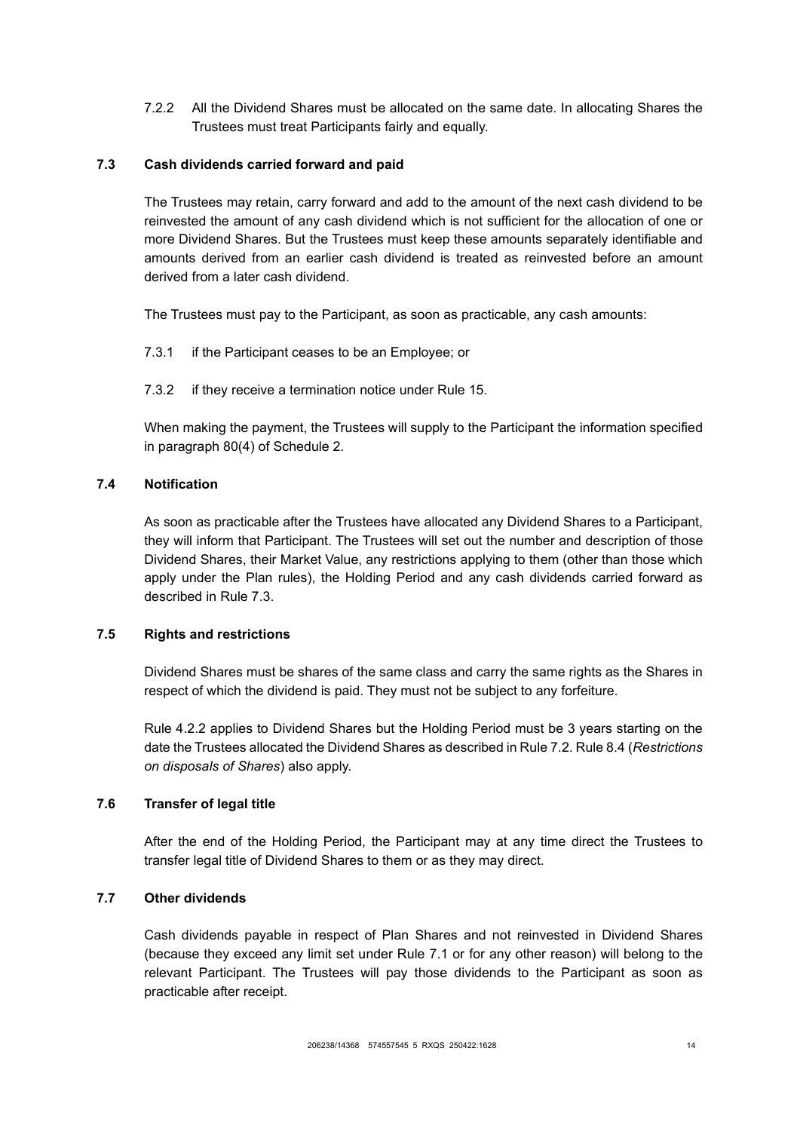7.2.2 All the Dividend Shares must be allocated on the same date. In allocating Shares the Trustees must treat Participants fairly and equally.

## <span id="page-17-1"></span>**7.3 Cash dividends carried forward and paid**

The Trustees may retain, carry forward and add to the amount of the next cash dividend to be reinvested the amount of any cash dividend which is not sufficient for the allocation of one or more Dividend Shares. But the Trustees must keep these amounts separately identifiable and amounts derived from an earlier cash dividend is treated as reinvested before an amount derived from a later cash dividend.

The Trustees must pay to the Participant, as soon as practicable, any cash amounts:

- 7.3.1 if the Participant ceases to be an Employee; or
- 7.3.2 if they receive a termination notice under Rule [15.](#page-30-0)

When making the payment, the Trustees will supply to the Participant the information specified in paragraph 80(4) of Schedule 2.

### **7.4 Notification**

As soon as practicable after the Trustees have allocated any Dividend Shares to a Participant, they will inform that Participant. The Trustees will set out the number and description of those Dividend Shares, their Market Value, any restrictions applying to them (other than those which apply under the Plan rules), the Holding Period and any cash dividends carried forward as described in Rule [7.3.](#page-17-1)

#### <span id="page-17-0"></span>**7.5 Rights and restrictions**

Dividend Shares must be shares of the same class and carry the same rights as the Shares in respect of which the dividend is paid. They must not be subject to any forfeiture.

Rule [4.2.2](#page-9-4) applies to Dividend Shares but the Holding Period must be 3 years starting on the date the Trustees allocated the Dividend Shares as described in Rule [7.2.](#page-16-1) Rul[e 8.4](#page-19-0) (*[Restrictions](#page-19-0)  [on disposals of Shares](#page-19-0)*) also apply.

### **7.6 Transfer of legal title**

After the end of the Holding Period, the Participant may at any time direct the Trustees to transfer legal title of Dividend Shares to them or as they may direct.

#### **7.7 Other dividends**

Cash dividends payable in respect of Plan Shares and not reinvested in Dividend Shares (because they exceed any limit set under Rule [7.1](#page-16-2) or for any other reason) will belong to the relevant Participant. The Trustees will pay those dividends to the Participant as soon as practicable after receipt.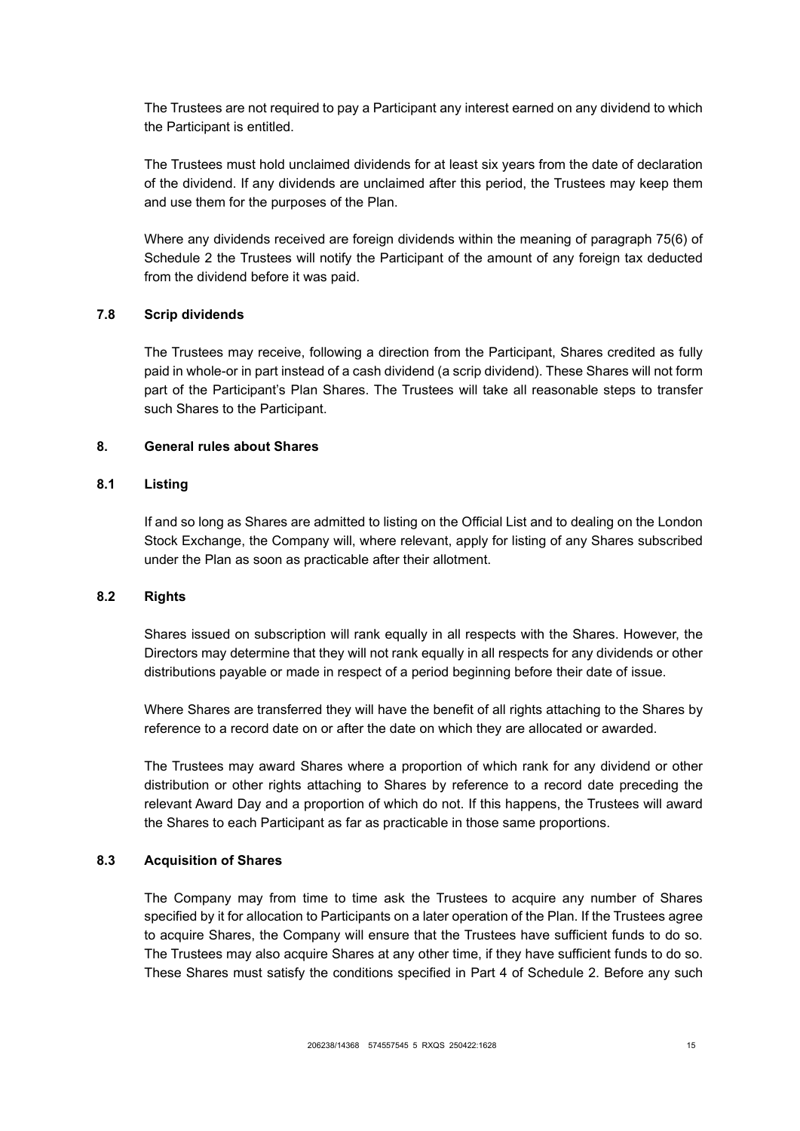The Trustees are not required to pay a Participant any interest earned on any dividend to which the Participant is entitled.

The Trustees must hold unclaimed dividends for at least six years from the date of declaration of the dividend. If any dividends are unclaimed after this period, the Trustees may keep them and use them for the purposes of the Plan.

Where any dividends received are foreign dividends within the meaning of paragraph 75(6) of Schedule 2 the Trustees will notify the Participant of the amount of any foreign tax deducted from the dividend before it was paid.

#### **7.8 Scrip dividends**

The Trustees may receive, following a direction from the Participant, Shares credited as fully paid in whole-or in part instead of a cash dividend (a scrip dividend). These Shares will not form part of the Participant's Plan Shares. The Trustees will take all reasonable steps to transfer such Shares to the Participant.

### <span id="page-18-0"></span>**8. General rules about Shares**

# **8.1 Listing**

If and so long as Shares are admitted to listing on the Official List and to dealing on the London Stock Exchange, the Company will, where relevant, apply for listing of any Shares subscribed under the Plan as soon as practicable after their allotment.

### **8.2 Rights**

Shares issued on subscription will rank equally in all respects with the Shares. However, the Directors may determine that they will not rank equally in all respects for any dividends or other distributions payable or made in respect of a period beginning before their date of issue.

Where Shares are transferred they will have the benefit of all rights attaching to the Shares by reference to a record date on or after the date on which they are allocated or awarded.

The Trustees may award Shares where a proportion of which rank for any dividend or other distribution or other rights attaching to Shares by reference to a record date preceding the relevant Award Day and a proportion of which do not. If this happens, the Trustees will award the Shares to each Participant as far as practicable in those same proportions.

### **8.3 Acquisition of Shares**

The Company may from time to time ask the Trustees to acquire any number of Shares specified by it for allocation to Participants on a later operation of the Plan. If the Trustees agree to acquire Shares, the Company will ensure that the Trustees have sufficient funds to do so. The Trustees may also acquire Shares at any other time, if they have sufficient funds to do so. These Shares must satisfy the conditions specified in Part 4 of Schedule 2. Before any such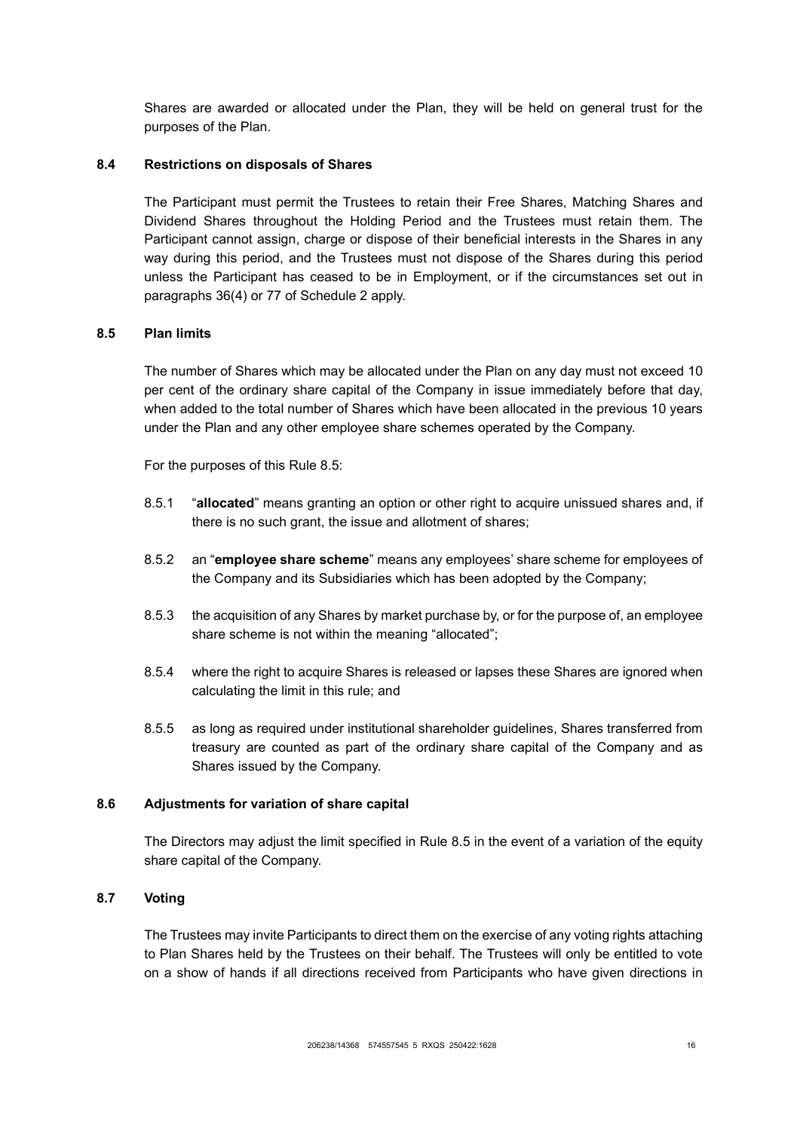Shares are awarded or allocated under the Plan, they will be held on general trust for the purposes of the Plan.

### <span id="page-19-0"></span>**8.4 Restrictions on disposals of Shares**

The Participant must permit the Trustees to retain their Free Shares, Matching Shares and Dividend Shares throughout the Holding Period and the Trustees must retain them. The Participant cannot assign, charge or dispose of their beneficial interests in the Shares in any way during this period, and the Trustees must not dispose of the Shares during this period unless the Participant has ceased to be in Employment, or if the circumstances set out in paragraphs 36(4) or 77 of Schedule 2 apply.

### <span id="page-19-1"></span>**8.5 Plan limits**

The number of Shares which may be allocated under the Plan on any day must not exceed 10 per cent of the ordinary share capital of the Company in issue immediately before that day, when added to the total number of Shares which have been allocated in the previous 10 years under the Plan and any other employee share schemes operated by the Company.

For the purposes of this Rule [8.5:](#page-19-1)

- 8.5.1 "**allocated**" means granting an option or other right to acquire unissued shares and, if there is no such grant, the issue and allotment of shares;
- 8.5.2 an "**employee share scheme**" means any employees' share scheme for employees of the Company and its Subsidiaries which has been adopted by the Company;
- 8.5.3 the acquisition of any Shares by market purchase by, or for the purpose of, an employee share scheme is not within the meaning "allocated";
- 8.5.4 where the right to acquire Shares is released or lapses these Shares are ignored when calculating the limit in this rule; and
- 8.5.5 as long as required under institutional shareholder guidelines, Shares transferred from treasury are counted as part of the ordinary share capital of the Company and as Shares issued by the Company.

### **8.6 Adjustments for variation of share capital**

The Directors may adjust the limit specified in Rule [8.5](#page-19-1) in the event of a variation of the equity share capital of the Company.

### **8.7 Voting**

The Trustees may invite Participants to direct them on the exercise of any voting rights attaching to Plan Shares held by the Trustees on their behalf. The Trustees will only be entitled to vote on a show of hands if all directions received from Participants who have given directions in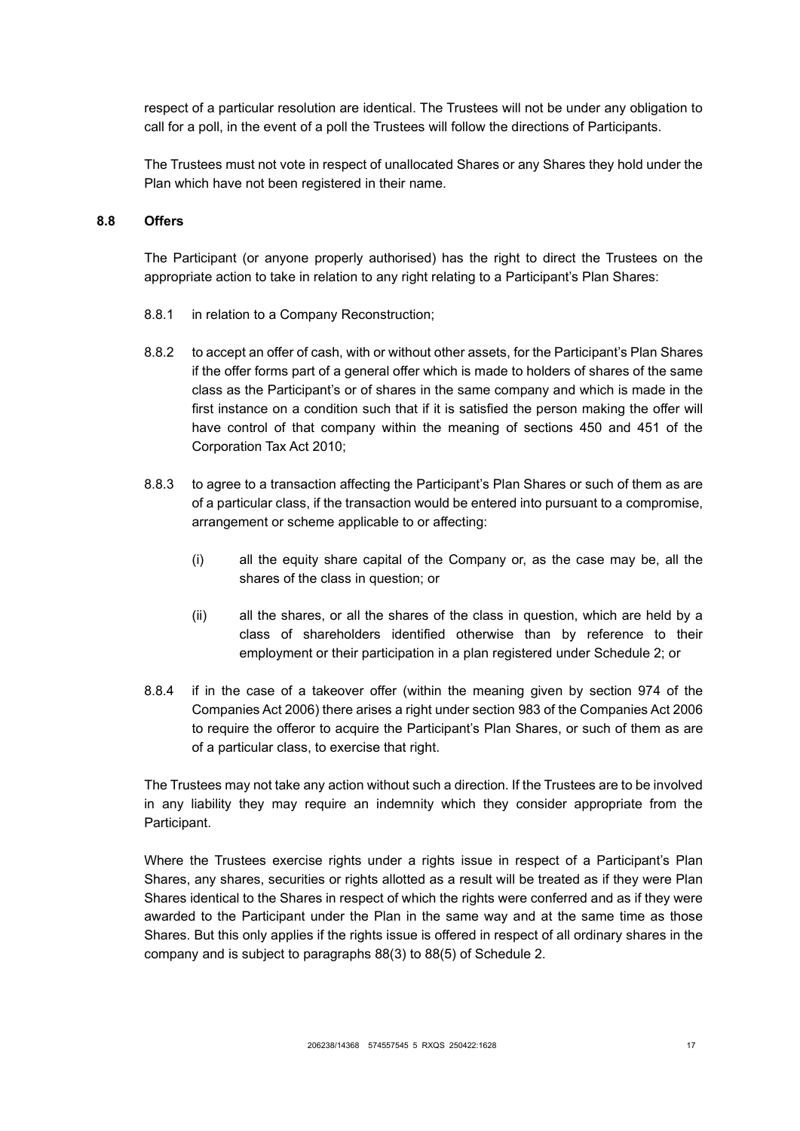respect of a particular resolution are identical. The Trustees will not be under any obligation to call for a poll, in the event of a poll the Trustees will follow the directions of Participants.

The Trustees must not vote in respect of unallocated Shares or any Shares they hold under the Plan which have not been registered in their name.

#### <span id="page-20-0"></span>**8.8 Offers**

The Participant (or anyone properly authorised) has the right to direct the Trustees on the appropriate action to take in relation to any right relating to a Participant's Plan Shares:

- 8.8.1 in relation to a Company Reconstruction;
- 8.8.2 to accept an offer of cash, with or without other assets, for the Participant's Plan Shares if the offer forms part of a general offer which is made to holders of shares of the same class as the Participant's or of shares in the same company and which is made in the first instance on a condition such that if it is satisfied the person making the offer will have control of that company within the meaning of sections 450 and 451 of the Corporation Tax Act 2010;
- 8.8.3 to agree to a transaction affecting the Participant's Plan Shares or such of them as are of a particular class, if the transaction would be entered into pursuant to a compromise, arrangement or scheme applicable to or affecting:
	- (i) all the equity share capital of the Company or, as the case may be, all the shares of the class in question; or
	- (ii) all the shares, or all the shares of the class in question, which are held by a class of shareholders identified otherwise than by reference to their employment or their participation in a plan registered under Schedule 2; or
- 8.8.4 if in the case of a takeover offer (within the meaning given by section 974 of the Companies Act 2006) there arises a right under section 983 of the Companies Act 2006 to require the offeror to acquire the Participant's Plan Shares, or such of them as are of a particular class, to exercise that right.

The Trustees may not take any action without such a direction. If the Trustees are to be involved in any liability they may require an indemnity which they consider appropriate from the Participant.

Where the Trustees exercise rights under a rights issue in respect of a Participant's Plan Shares, any shares, securities or rights allotted as a result will be treated as if they were Plan Shares identical to the Shares in respect of which the rights were conferred and as if they were awarded to the Participant under the Plan in the same way and at the same time as those Shares. But this only applies if the rights issue is offered in respect of all ordinary shares in the company and is subject to paragraphs 88(3) to 88(5) of Schedule 2.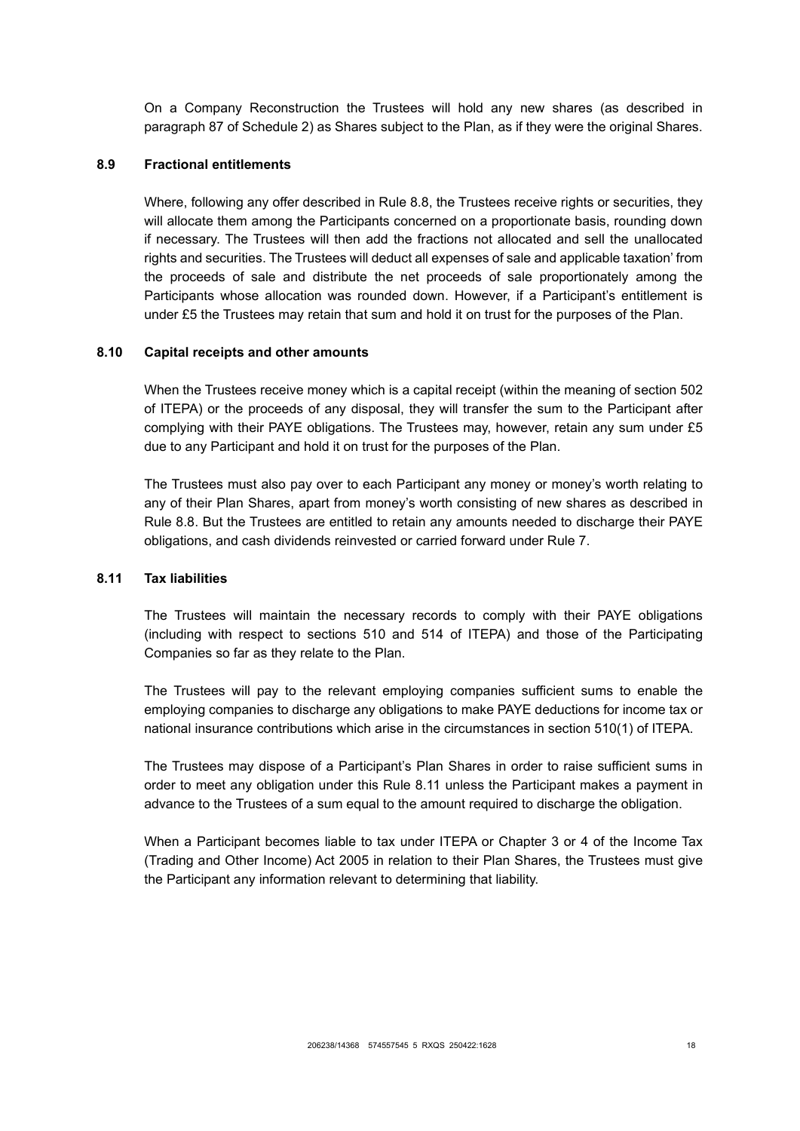On a Company Reconstruction the Trustees will hold any new shares (as described in paragraph 87 of Schedule 2) as Shares subject to the Plan, as if they were the original Shares.

### **8.9 Fractional entitlements**

Where, following any offer described in Rule [8.8,](#page-20-0) the Trustees receive rights or securities, they will allocate them among the Participants concerned on a proportionate basis, rounding down if necessary. The Trustees will then add the fractions not allocated and sell the unallocated rights and securities. The Trustees will deduct all expenses of sale and applicable taxation' from the proceeds of sale and distribute the net proceeds of sale proportionately among the Participants whose allocation was rounded down. However, if a Participant's entitlement is under £5 the Trustees may retain that sum and hold it on trust for the purposes of the Plan.

### **8.10 Capital receipts and other amounts**

When the Trustees receive money which is a capital receipt (within the meaning of section 502 of ITEPA) or the proceeds of any disposal, they will transfer the sum to the Participant after complying with their PAYE obligations. The Trustees may, however, retain any sum under £5 due to any Participant and hold it on trust for the purposes of the Plan.

The Trustees must also pay over to each Participant any money or money's worth relating to any of their Plan Shares, apart from money's worth consisting of new shares as described in Rule [8.8.](#page-20-0) But the Trustees are entitled to retain any amounts needed to discharge their PAYE obligations, and cash dividends reinvested or carried forward under Rule [7.](#page-16-0)

#### <span id="page-21-0"></span>**8.11 Tax liabilities**

The Trustees will maintain the necessary records to comply with their PAYE obligations (including with respect to sections 510 and 514 of ITEPA) and those of the Participating Companies so far as they relate to the Plan.

The Trustees will pay to the relevant employing companies sufficient sums to enable the employing companies to discharge any obligations to make PAYE deductions for income tax or national insurance contributions which arise in the circumstances in section 510(1) of ITEPA.

The Trustees may dispose of a Participant's Plan Shares in order to raise sufficient sums in order to meet any obligation under this Rule [8.11](#page-21-0) unless the Participant makes a payment in advance to the Trustees of a sum equal to the amount required to discharge the obligation.

When a Participant becomes liable to tax under ITEPA or Chapter 3 or 4 of the Income Tax (Trading and Other Income) Act 2005 in relation to their Plan Shares, the Trustees must give the Participant any information relevant to determining that liability.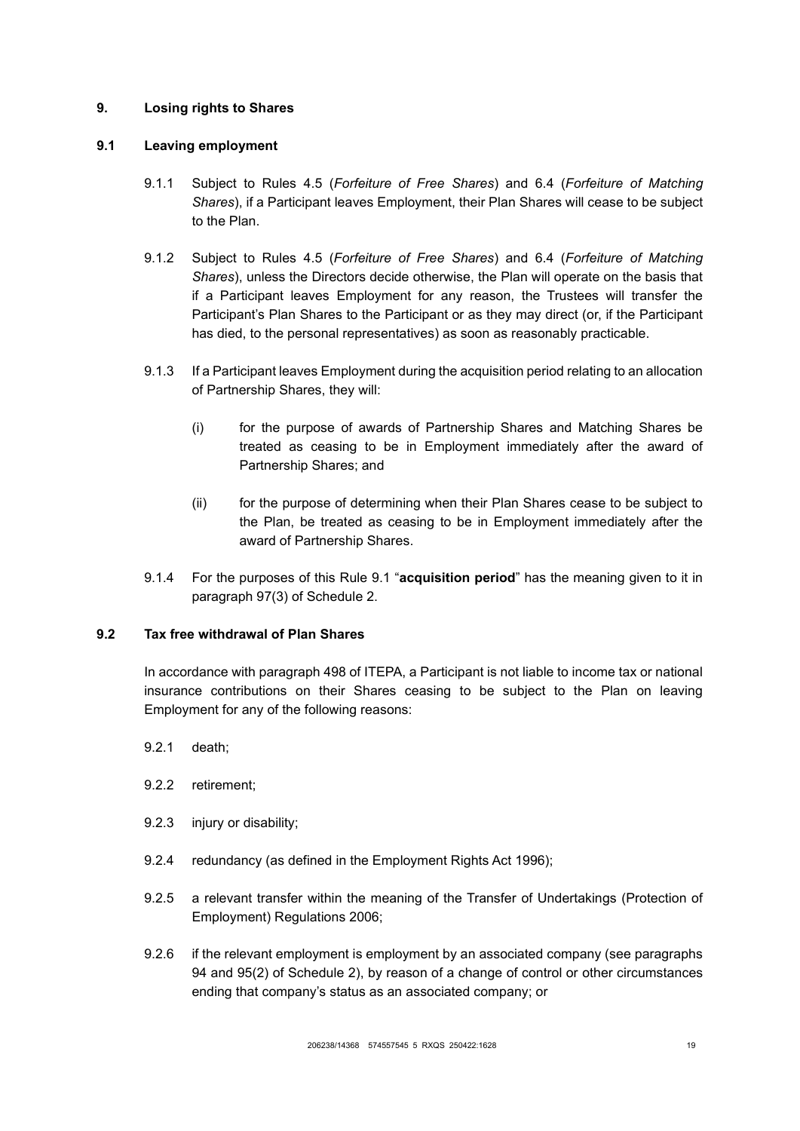## <span id="page-22-0"></span>**9. Losing rights to Shares**

## <span id="page-22-1"></span>**9.1 Leaving employment**

- 9.1.1 Subject to Rules [4.5](#page-10-1) (*[Forfeiture of Free Shares](#page-10-1)*) and [6.4](#page-15-1) (*[Forfeiture of Matching](#page-15-1)  [Shares](#page-15-1)*), if a Participant leaves Employment, their Plan Shares will cease to be subject to the Plan.
- 9.1.2 Subject to Rules [4.5](#page-10-1) (*[Forfeiture of Free Shares](#page-10-1)*) and [6.4](#page-15-1) (*[Forfeiture of Matching](#page-15-1)  [Shares](#page-15-1)*), unless the Directors decide otherwise, the Plan will operate on the basis that if a Participant leaves Employment for any reason, the Trustees will transfer the Participant's Plan Shares to the Participant or as they may direct (or, if the Participant has died, to the personal representatives) as soon as reasonably practicable.
- 9.1.3 If a Participant leaves Employment during the acquisition period relating to an allocation of Partnership Shares, they will:
	- (i) for the purpose of awards of Partnership Shares and Matching Shares be treated as ceasing to be in Employment immediately after the award of Partnership Shares; and
	- (ii) for the purpose of determining when their Plan Shares cease to be subject to the Plan, be treated as ceasing to be in Employment immediately after the award of Partnership Shares.
- 9.1.4 For the purposes of this Rule [9.1](#page-22-1) "**acquisition period**" has the meaning given to it in paragraph 97(3) of Schedule 2.

## **9.2 Tax free withdrawal of Plan Shares**

In accordance with paragraph 498 of ITEPA, a Participant is not liable to income tax or national insurance contributions on their Shares ceasing to be subject to the Plan on leaving Employment for any of the following reasons:

- 9.2.1 death;
- 9.2.2 retirement;
- 9.2.3 injury or disability;
- 9.2.4 redundancy (as defined in the Employment Rights Act 1996);
- 9.2.5 a relevant transfer within the meaning of the Transfer of Undertakings (Protection of Employment) Regulations 2006;
- 9.2.6 if the relevant employment is employment by an associated company (see paragraphs 94 and 95(2) of Schedule 2), by reason of a change of control or other circumstances ending that company's status as an associated company; or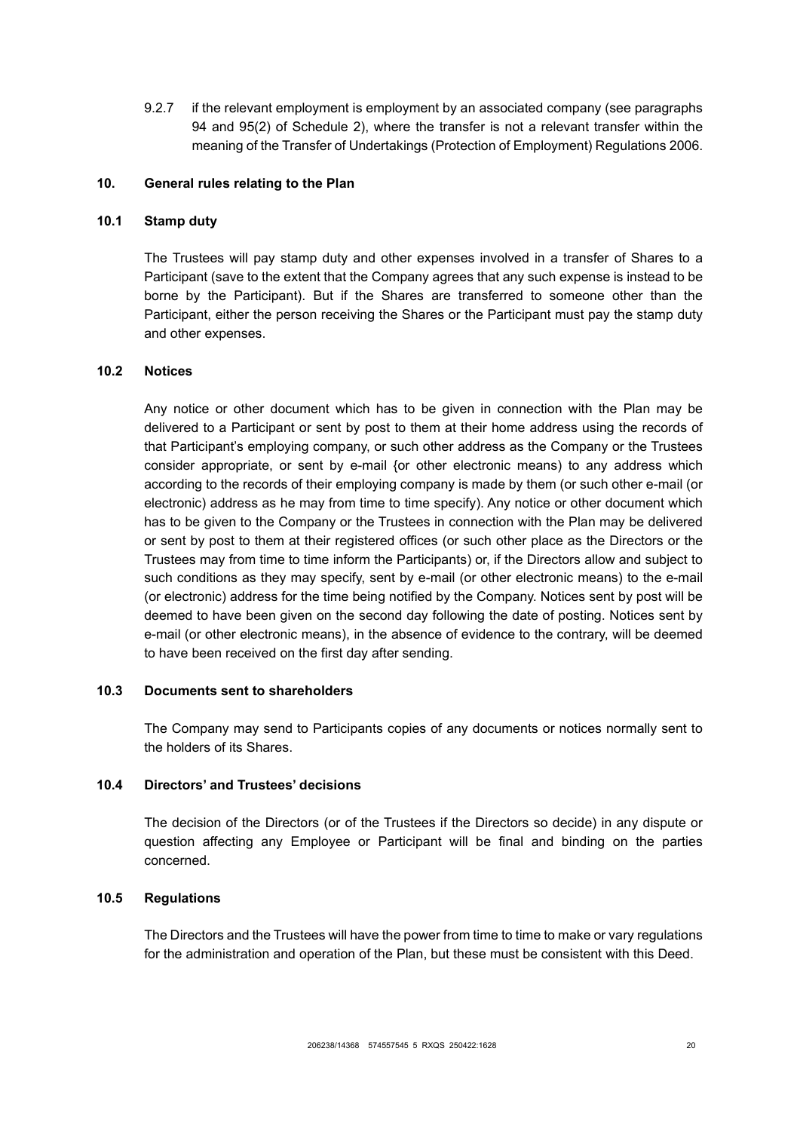9.2.7 if the relevant employment is employment by an associated company (see paragraphs 94 and 95(2) of Schedule 2), where the transfer is not a relevant transfer within the meaning of the Transfer of Undertakings (Protection of Employment) Regulations 2006.

## <span id="page-23-0"></span>**10. General rules relating to the Plan**

### **10.1 Stamp duty**

The Trustees will pay stamp duty and other expenses involved in a transfer of Shares to a Participant (save to the extent that the Company agrees that any such expense is instead to be borne by the Participant). But if the Shares are transferred to someone other than the Participant, either the person receiving the Shares or the Participant must pay the stamp duty and other expenses.

## **10.2 Notices**

Any notice or other document which has to be given in connection with the Plan may be delivered to a Participant or sent by post to them at their home address using the records of that Participant's employing company, or such other address as the Company or the Trustees consider appropriate, or sent by e-mail {or other electronic means) to any address which according to the records of their employing company is made by them (or such other e-mail (or electronic) address as he may from time to time specify). Any notice or other document which has to be given to the Company or the Trustees in connection with the Plan may be delivered or sent by post to them at their registered offices (or such other place as the Directors or the Trustees may from time to time inform the Participants) or, if the Directors allow and subject to such conditions as they may specify, sent by e-mail (or other electronic means) to the e-mail (or electronic) address for the time being notified by the Company. Notices sent by post will be deemed to have been given on the second day following the date of posting. Notices sent by e-mail (or other electronic means), in the absence of evidence to the contrary, will be deemed to have been received on the first day after sending.

#### **10.3 Documents sent to shareholders**

The Company may send to Participants copies of any documents or notices normally sent to the holders of its Shares.

### **10.4 Directors' and Trustees' decisions**

The decision of the Directors (or of the Trustees if the Directors so decide) in any dispute or question affecting any Employee or Participant will be final and binding on the parties concerned.

## **10.5 Regulations**

The Directors and the Trustees will have the power from time to time to make or vary regulations for the administration and operation of the Plan, but these must be consistent with this Deed.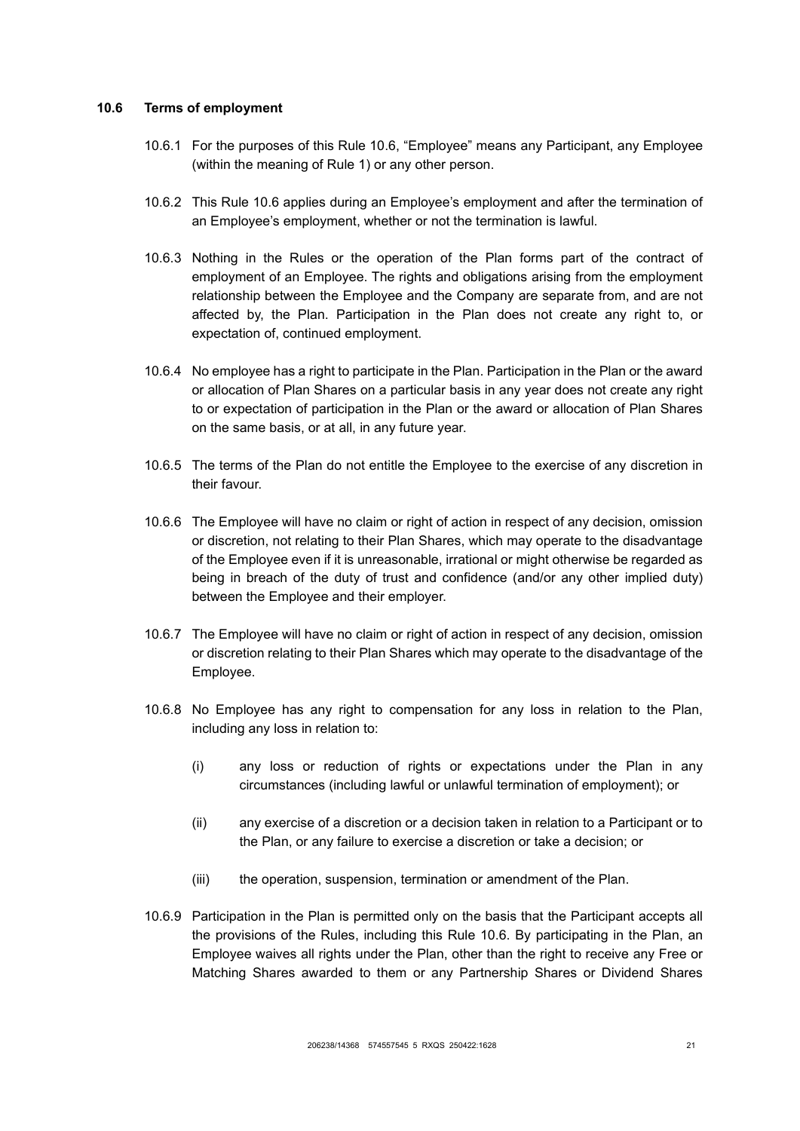#### <span id="page-24-0"></span>**10.6 Terms of employment**

- 10.6.1 For the purposes of this Rule [10.6,](#page-24-0) "Employee" means any Participant, any Employee (within the meaning of Rule [1\)](#page-4-0) or any other person.
- 10.6.2 This Rule [10.6](#page-24-0) applies during an Employee's employment and after the termination of an Employee's employment, whether or not the termination is lawful.
- 10.6.3 Nothing in the Rules or the operation of the Plan forms part of the contract of employment of an Employee. The rights and obligations arising from the employment relationship between the Employee and the Company are separate from, and are not affected by, the Plan. Participation in the Plan does not create any right to, or expectation of, continued employment.
- 10.6.4 No employee has a right to participate in the Plan. Participation in the Plan or the award or allocation of Plan Shares on a particular basis in any year does not create any right to or expectation of participation in the Plan or the award or allocation of Plan Shares on the same basis, or at all, in any future year.
- 10.6.5 The terms of the Plan do not entitle the Employee to the exercise of any discretion in their favour.
- 10.6.6 The Employee will have no claim or right of action in respect of any decision, omission or discretion, not relating to their Plan Shares, which may operate to the disadvantage of the Employee even if it is unreasonable, irrational or might otherwise be regarded as being in breach of the duty of trust and confidence (and/or any other implied duty) between the Employee and their employer.
- 10.6.7 The Employee will have no claim or right of action in respect of any decision, omission or discretion relating to their Plan Shares which may operate to the disadvantage of the Employee.
- 10.6.8 No Employee has any right to compensation for any loss in relation to the Plan, including any loss in relation to:
	- (i) any loss or reduction of rights or expectations under the Plan in any circumstances (including lawful or unlawful termination of employment); or
	- (ii) any exercise of a discretion or a decision taken in relation to a Participant or to the Plan, or any failure to exercise a discretion or take a decision; or
	- (iii) the operation, suspension, termination or amendment of the Plan.
- 10.6.9 Participation in the Plan is permitted only on the basis that the Participant accepts all the provisions of the Rules, including this Rule [10.6.](#page-24-0) By participating in the Plan, an Employee waives all rights under the Plan, other than the right to receive any Free or Matching Shares awarded to them or any Partnership Shares or Dividend Shares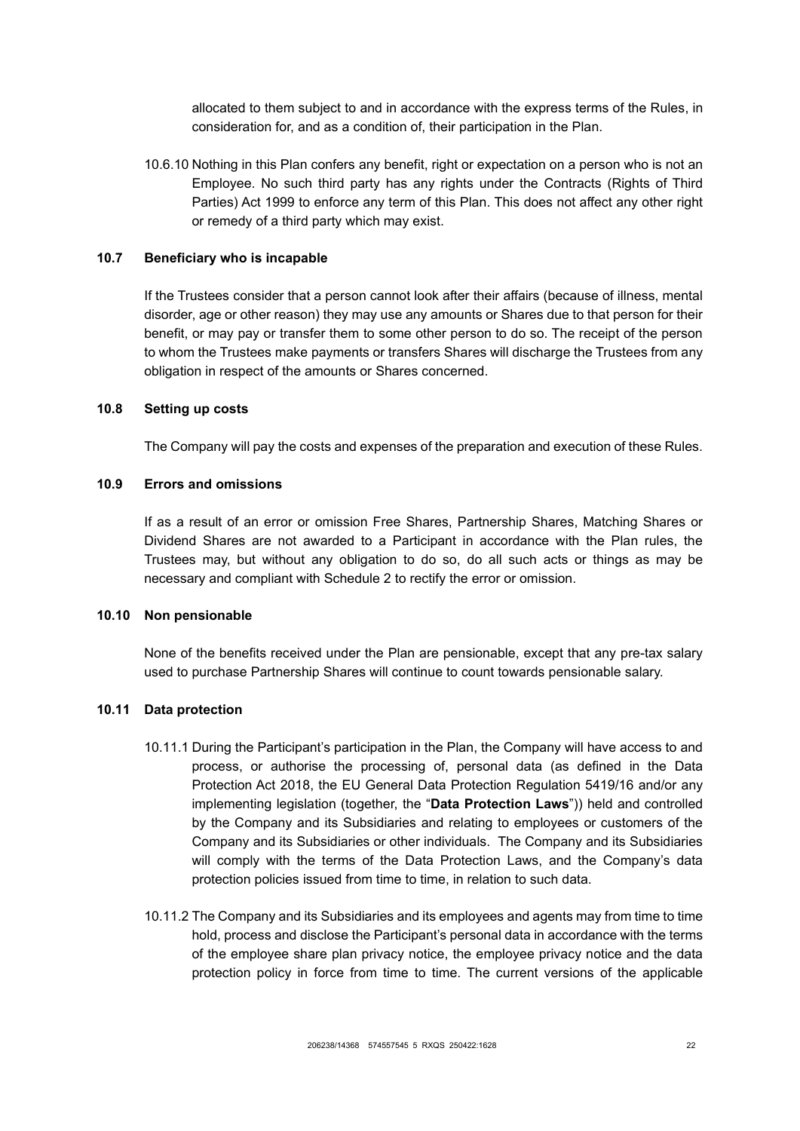allocated to them subject to and in accordance with the express terms of the Rules, in consideration for, and as a condition of, their participation in the Plan.

10.6.10 Nothing in this Plan confers any benefit, right or expectation on a person who is not an Employee. No such third party has any rights under the Contracts (Rights of Third Parties) Act 1999 to enforce any term of this Plan. This does not affect any other right or remedy of a third party which may exist.

### **10.7 Beneficiary who is incapable**

If the Trustees consider that a person cannot look after their affairs (because of illness, mental disorder, age or other reason) they may use any amounts or Shares due to that person for their benefit, or may pay or transfer them to some other person to do so. The receipt of the person to whom the Trustees make payments or transfers Shares will discharge the Trustees from any obligation in respect of the amounts or Shares concerned.

#### **10.8 Setting up costs**

The Company will pay the costs and expenses of the preparation and execution of these Rules.

## **10.9 Errors and omissions**

If as a result of an error or omission Free Shares, Partnership Shares, Matching Shares or Dividend Shares are not awarded to a Participant in accordance with the Plan rules, the Trustees may, but without any obligation to do so, do all such acts or things as may be necessary and compliant with Schedule 2 to rectify the error or omission.

#### **10.10 Non pensionable**

None of the benefits received under the Plan are pensionable, except that any pre-tax salary used to purchase Partnership Shares will continue to count towards pensionable salary.

#### **10.11 Data protection**

- 10.11.1 During the Participant's participation in the Plan, the Company will have access to and process, or authorise the processing of, personal data (as defined in the Data Protection Act 2018, the EU General Data Protection Regulation 5419/16 and/or any implementing legislation (together, the "**Data Protection Laws**")) held and controlled by the Company and its Subsidiaries and relating to employees or customers of the Company and its Subsidiaries or other individuals. The Company and its Subsidiaries will comply with the terms of the Data Protection Laws, and the Company's data protection policies issued from time to time, in relation to such data.
- 10.11.2 The Company and its Subsidiaries and its employees and agents may from time to time hold, process and disclose the Participant's personal data in accordance with the terms of the employee share plan privacy notice, the employee privacy notice and the data protection policy in force from time to time. The current versions of the applicable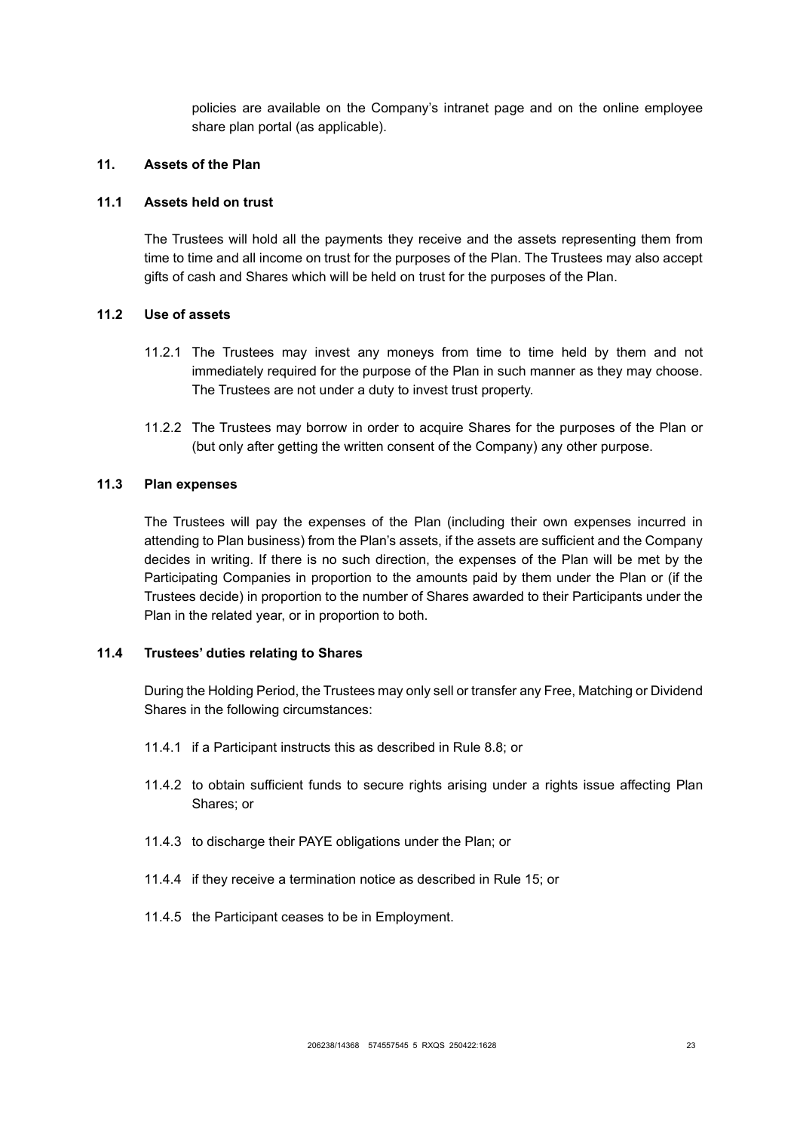policies are available on the Company's intranet page and on the online employee share plan portal (as applicable).

### <span id="page-26-0"></span>**11. Assets of the Plan**

## **11.1 Assets held on trust**

The Trustees will hold all the payments they receive and the assets representing them from time to time and all income on trust for the purposes of the Plan. The Trustees may also accept gifts of cash and Shares which will be held on trust for the purposes of the Plan.

### **11.2 Use of assets**

- 11.2.1 The Trustees may invest any moneys from time to time held by them and not immediately required for the purpose of the Plan in such manner as they may choose. The Trustees are not under a duty to invest trust property.
- 11.2.2 The Trustees may borrow in order to acquire Shares for the purposes of the Plan or (but only after getting the written consent of the Company) any other purpose.

## **11.3 Plan expenses**

The Trustees will pay the expenses of the Plan (including their own expenses incurred in attending to Plan business) from the Plan's assets, if the assets are sufficient and the Company decides in writing. If there is no such direction, the expenses of the Plan will be met by the Participating Companies in proportion to the amounts paid by them under the Plan or (if the Trustees decide) in proportion to the number of Shares awarded to their Participants under the Plan in the related year, or in proportion to both.

### **11.4 Trustees' duties relating to Shares**

During the Holding Period, the Trustees may only sell or transfer any Free, Matching or Dividend Shares in the following circumstances:

- 11.4.1 if a Participant instructs this as described in Rule [8.8;](#page-20-0) or
- 11.4.2 to obtain sufficient funds to secure rights arising under a rights issue affecting Plan Shares; or
- 11.4.3 to discharge their PAYE obligations under the Plan; or
- 11.4.4 if they receive a termination notice as described in Rule [15;](#page-30-0) or
- 11.4.5 the Participant ceases to be in Employment.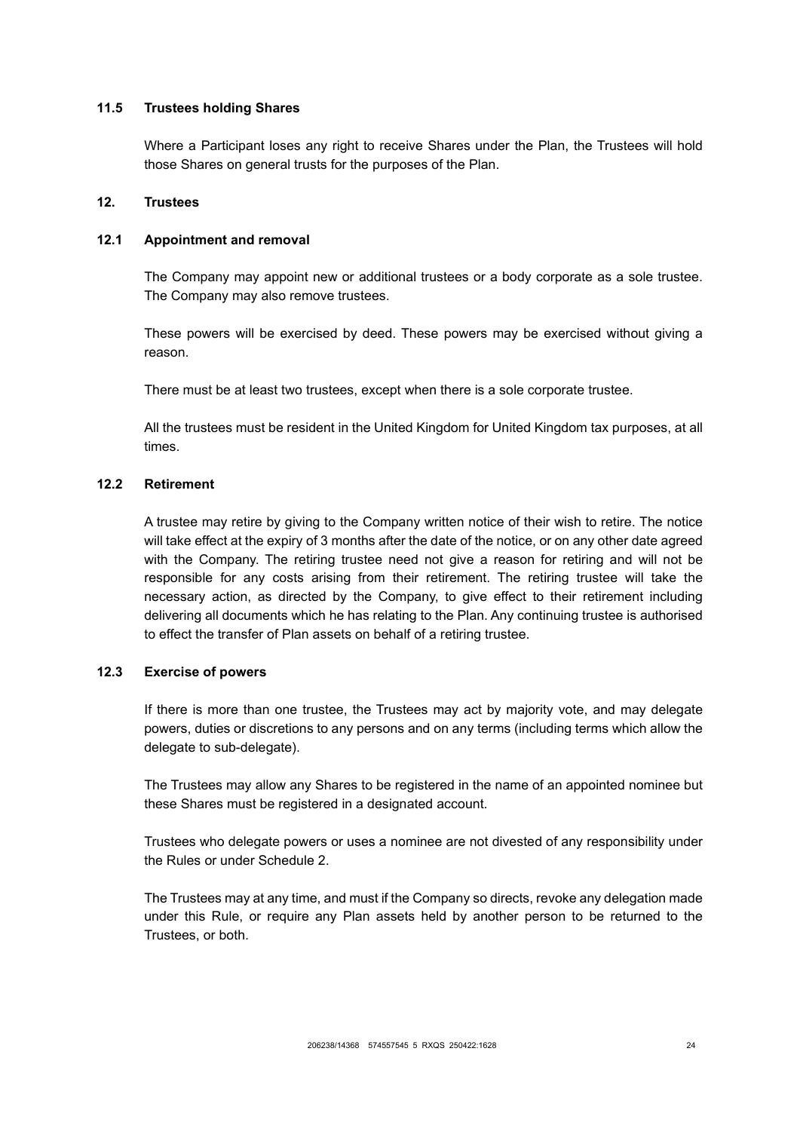### **11.5 Trustees holding Shares**

Where a Participant loses any right to receive Shares under the Plan, the Trustees will hold those Shares on general trusts for the purposes of the Plan.

## <span id="page-27-0"></span>**12. Trustees**

#### **12.1 Appointment and removal**

The Company may appoint new or additional trustees or a body corporate as a sole trustee. The Company may also remove trustees.

These powers will be exercised by deed. These powers may be exercised without giving a reason.

There must be at least two trustees, except when there is a sole corporate trustee.

All the trustees must be resident in the United Kingdom for United Kingdom tax purposes, at all times.

### **12.2 Retirement**

A trustee may retire by giving to the Company written notice of their wish to retire. The notice will take effect at the expiry of 3 months after the date of the notice, or on any other date agreed with the Company. The retiring trustee need not give a reason for retiring and will not be responsible for any costs arising from their retirement. The retiring trustee will take the necessary action, as directed by the Company, to give effect to their retirement including delivering all documents which he has relating to the Plan. Any continuing trustee is authorised to effect the transfer of Plan assets on behalf of a retiring trustee.

### **12.3 Exercise of powers**

If there is more than one trustee, the Trustees may act by majority vote, and may delegate powers, duties or discretions to any persons and on any terms (including terms which allow the delegate to sub-delegate).

The Trustees may allow any Shares to be registered in the name of an appointed nominee but these Shares must be registered in a designated account.

Trustees who delegate powers or uses a nominee are not divested of any responsibility under the Rules or under Schedule 2.

The Trustees may at any time, and must if the Company so directs, revoke any delegation made under this Rule, or require any Plan assets held by another person to be returned to the Trustees, or both.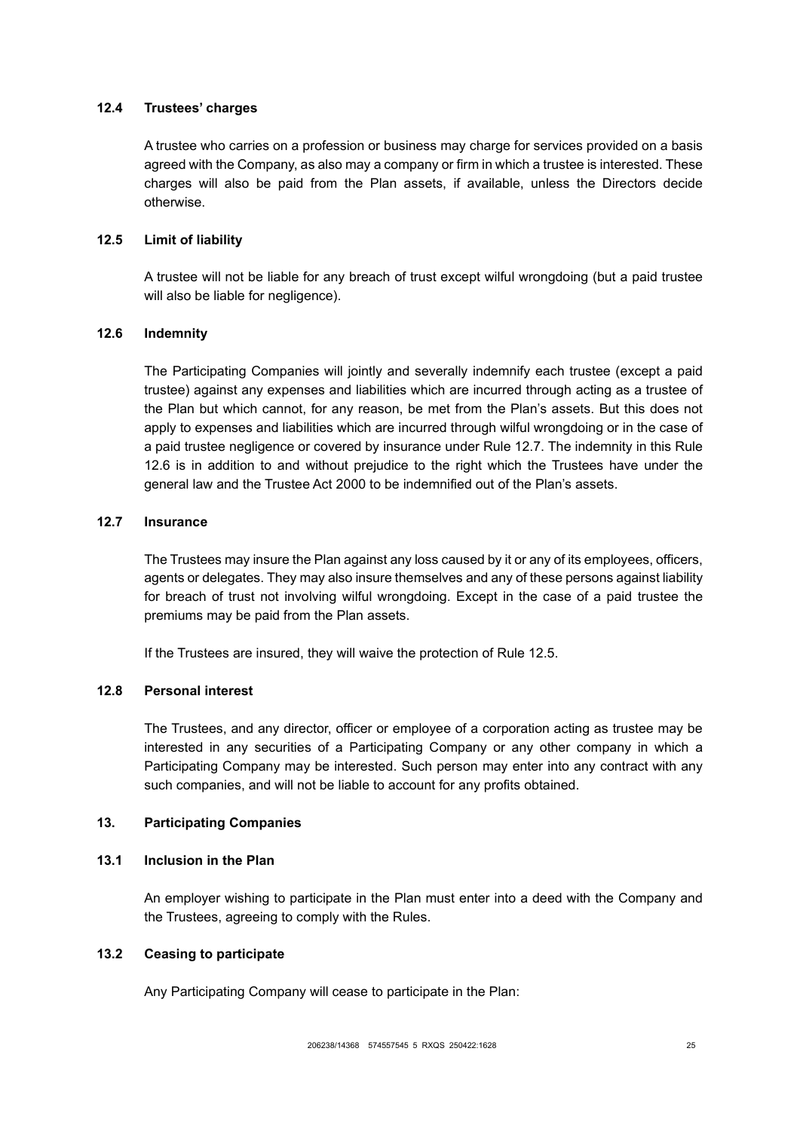## **12.4 Trustees' charges**

A trustee who carries on a profession or business may charge for services provided on a basis agreed with the Company, as also may a company or firm in which a trustee is interested. These charges will also be paid from the Plan assets, if available, unless the Directors decide otherwise.

### <span id="page-28-4"></span>**12.5 Limit of liability**

A trustee will not be liable for any breach of trust except wilful wrongdoing (but a paid trustee will also be liable for negligence).

### <span id="page-28-3"></span>**12.6 Indemnity**

The Participating Companies will jointly and severally indemnify each trustee (except a paid trustee) against any expenses and liabilities which are incurred through acting as a trustee of the Plan but which cannot, for any reason, be met from the Plan's assets. But this does not apply to expenses and liabilities which are incurred through wilful wrongdoing or in the case of a paid trustee negligence or covered by insurance under Rule [12.7.](#page-28-2) The indemnity in this Rule [12.6](#page-28-3) is in addition to and without prejudice to the right which the Trustees have under the general law and the Trustee Act 2000 to be indemnified out of the Plan's assets.

## <span id="page-28-2"></span>**12.7 Insurance**

The Trustees may insure the Plan against any loss caused by it or any of its employees, officers, agents or delegates. They may also insure themselves and any of these persons against liability for breach of trust not involving wilful wrongdoing. Except in the case of a paid trustee the premiums may be paid from the Plan assets.

If the Trustees are insured, they will waive the protection of Rule [12.5.](#page-28-4)

## **12.8 Personal interest**

The Trustees, and any director, officer or employee of a corporation acting as trustee may be interested in any securities of a Participating Company or any other company in which a Participating Company may be interested. Such person may enter into any contract with any such companies, and will not be liable to account for any profits obtained.

### <span id="page-28-0"></span>**13. Participating Companies**

#### <span id="page-28-1"></span>**13.1 Inclusion in the Plan**

An employer wishing to participate in the Plan must enter into a deed with the Company and the Trustees, agreeing to comply with the Rules.

#### **13.2 Ceasing to participate**

Any Participating Company will cease to participate in the Plan: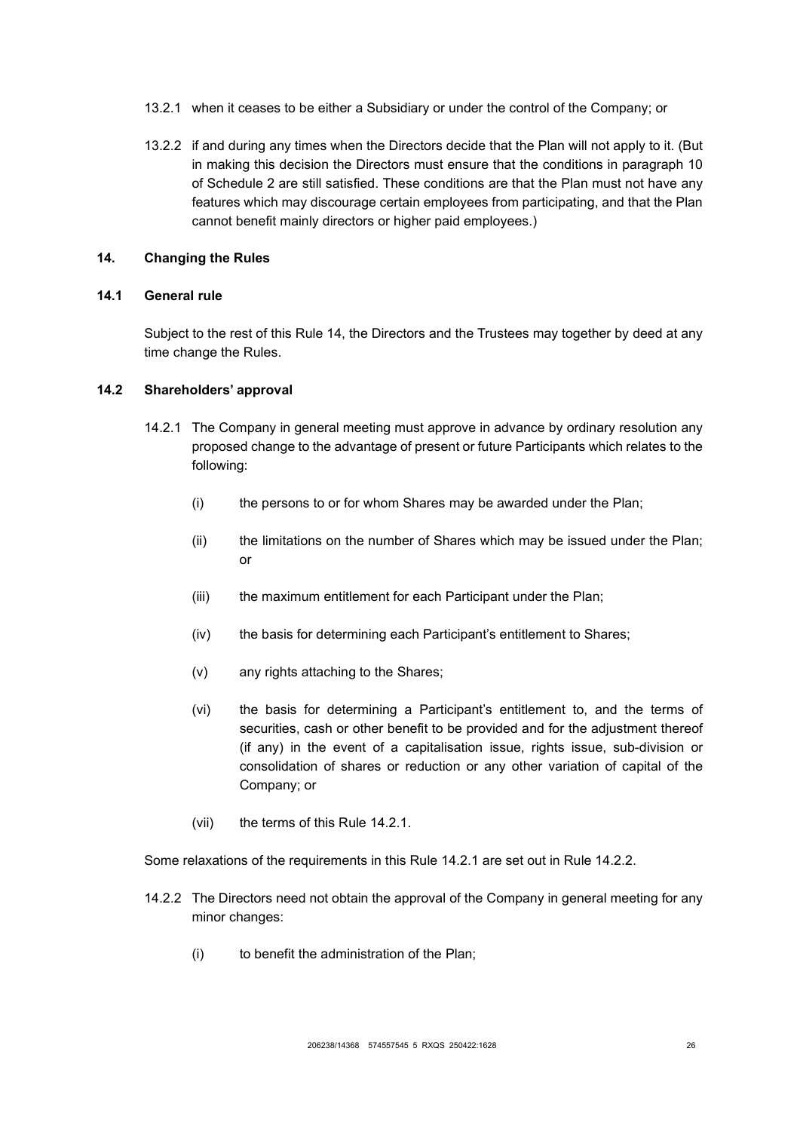- 13.2.1 when it ceases to be either a Subsidiary or under the control of the Company; or
- 13.2.2 if and during any times when the Directors decide that the Plan will not apply to it. (But in making this decision the Directors must ensure that the conditions in paragraph 10 of Schedule 2 are still satisfied. These conditions are that the Plan must not have any features which may discourage certain employees from participating, and that the Plan cannot benefit mainly directors or higher paid employees.)

### <span id="page-29-1"></span>**14. Changing the Rules**

### **14.1 General rule**

Subject to the rest of this Rule [14,](#page-29-1) the Directors and the Trustees may together by deed at any time change the Rules.

# <span id="page-29-2"></span><span id="page-29-0"></span>**14.2 Shareholders' approval**

- 14.2.1 The Company in general meeting must approve in advance by ordinary resolution any proposed change to the advantage of present or future Participants which relates to the following:
	- (i) the persons to or for whom Shares may be awarded under the Plan;
	- (ii) the limitations on the number of Shares which may be issued under the Plan; or
	- (iii) the maximum entitlement for each Participant under the Plan:
	- (iv) the basis for determining each Participant's entitlement to Shares;
	- (v) any rights attaching to the Shares;
	- (vi) the basis for determining a Participant's entitlement to, and the terms of securities, cash or other benefit to be provided and for the adjustment thereof (if any) in the event of a capitalisation issue, rights issue, sub-division or consolidation of shares or reduction or any other variation of capital of the Company; or
	- (vii) the terms of this Rule [14.2.1.](#page-29-2)

Some relaxations of the requirements in this Rule [14.2.1](#page-29-2) are set out in Rule [14.2.2.](#page-29-3)

- <span id="page-29-3"></span>14.2.2 The Directors need not obtain the approval of the Company in general meeting for any minor changes:
	- (i) to benefit the administration of the Plan;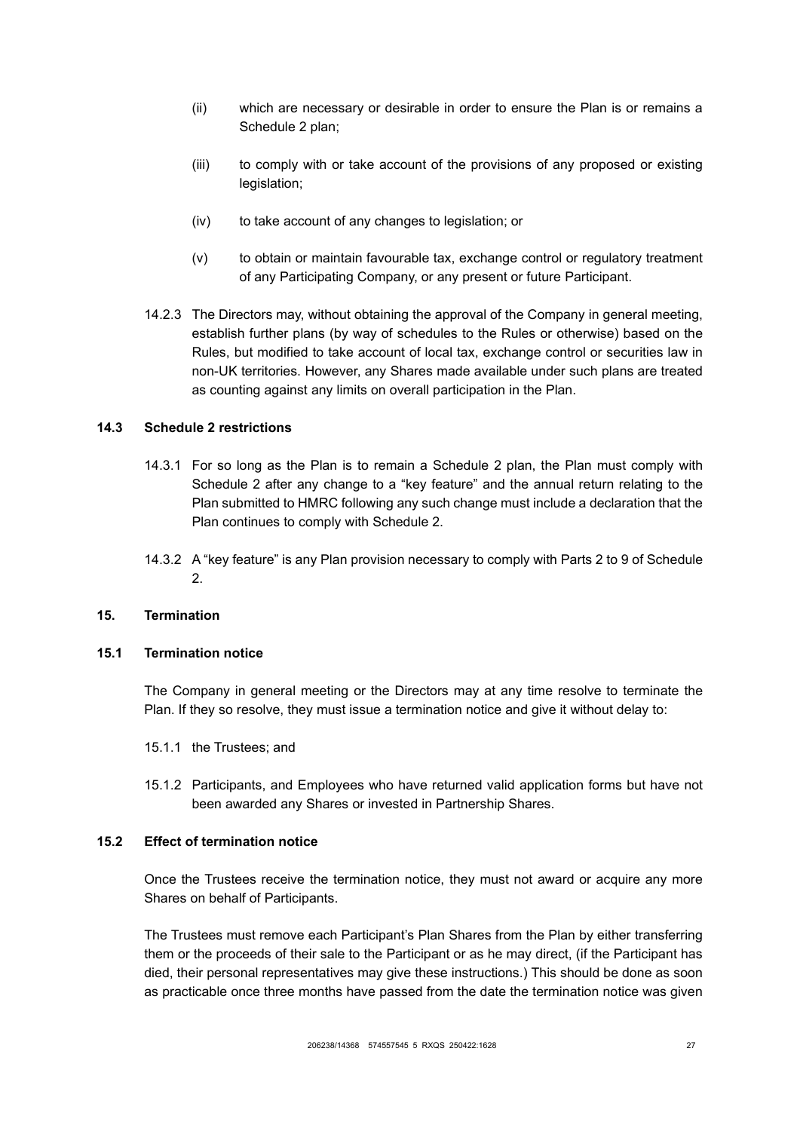- (ii) which are necessary or desirable in order to ensure the Plan is or remains a Schedule 2 plan;
- (iii) to comply with or take account of the provisions of any proposed or existing legislation;
- (iv) to take account of any changes to legislation; or
- (v) to obtain or maintain favourable tax, exchange control or regulatory treatment of any Participating Company, or any present or future Participant.
- 14.2.3 The Directors may, without obtaining the approval of the Company in general meeting, establish further plans (by way of schedules to the Rules or otherwise) based on the Rules, but modified to take account of local tax, exchange control or securities law in non-UK territories. However, any Shares made available under such plans are treated as counting against any limits on overall participation in the Plan.

### **14.3 Schedule 2 restrictions**

- 14.3.1 For so long as the Plan is to remain a Schedule 2 plan, the Plan must comply with Schedule 2 after any change to a "key feature" and the annual return relating to the Plan submitted to HMRC following any such change must include a declaration that the Plan continues to comply with Schedule 2.
- 14.3.2 A "key feature" is any Plan provision necessary to comply with Parts 2 to 9 of Schedule 2.

#### <span id="page-30-0"></span>**15. Termination**

### <span id="page-30-1"></span>**15.1 Termination notice**

The Company in general meeting or the Directors may at any time resolve to terminate the Plan. If they so resolve, they must issue a termination notice and give it without delay to:

- 15.1.1 the Trustees; and
- 15.1.2 Participants, and Employees who have returned valid application forms but have not been awarded any Shares or invested in Partnership Shares.

#### <span id="page-30-2"></span>**15.2 Effect of termination notice**

Once the Trustees receive the termination notice, they must not award or acquire any more Shares on behalf of Participants.

The Trustees must remove each Participant's Plan Shares from the Plan by either transferring them or the proceeds of their sale to the Participant or as he may direct, (if the Participant has died, their personal representatives may give these instructions.) This should be done as soon as practicable once three months have passed from the date the termination notice was given